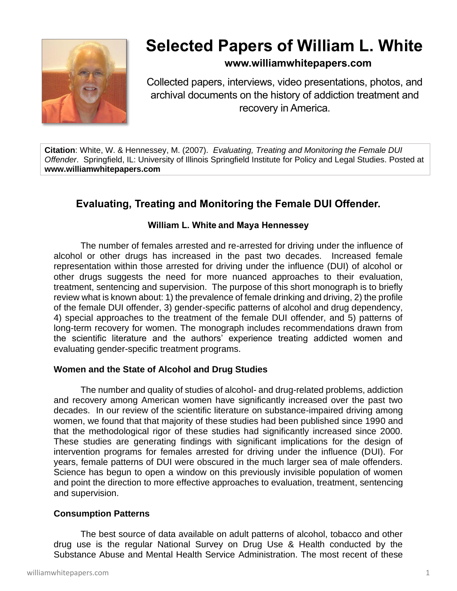

# **Selected Papers of William L. White**

# **www.williamwhitepapers.com**

Collected papers, interviews, video presentations, photos, and archival documents on the history of addiction treatment and recovery in America.

**Citation**: White, W. & Hennessey, M. (2007). *Evaluating, Treating and Monitoring the Female DUI Offender*. Springfield, IL: University of Illinois Springfield Institute for Policy and Legal Studies. Posted at **www.williamwhitepapers.com**

# **Evaluating, Treating and Monitoring the Female DUI Offender.**

# **William L. White and Maya Hennessey**

The number of females arrested and re-arrested for driving under the influence of alcohol or other drugs has increased in the past two decades. Increased female representation within those arrested for driving under the influence (DUI) of alcohol or other drugs suggests the need for more nuanced approaches to their evaluation, treatment, sentencing and supervision. The purpose of this short monograph is to briefly review what is known about: 1) the prevalence of female drinking and driving, 2) the profile of the female DUI offender, 3) gender-specific patterns of alcohol and drug dependency, 4) special approaches to the treatment of the female DUI offender, and 5) patterns of long-term recovery for women. The monograph includes recommendations drawn from the scientific literature and the authors' experience treating addicted women and evaluating gender-specific treatment programs.

# **Women and the State of Alcohol and Drug Studies**

The number and quality of studies of alcohol- and drug-related problems, addiction and recovery among American women have significantly increased over the past two decades. In our review of the scientific literature on substance-impaired driving among women, we found that that majority of these studies had been published since 1990 and that the methodological rigor of these studies had significantly increased since 2000. These studies are generating findings with significant implications for the design of intervention programs for females arrested for driving under the influence (DUI). For years, female patterns of DUI were obscured in the much larger sea of male offenders. Science has begun to open a window on this previously invisible population of women and point the direction to more effective approaches to evaluation, treatment, sentencing and supervision.

# **Consumption Patterns**

The best source of data available on adult patterns of alcohol, tobacco and other drug use is the regular National Survey on Drug Use & Health conducted by the Substance Abuse and Mental Health Service Administration. The most recent of these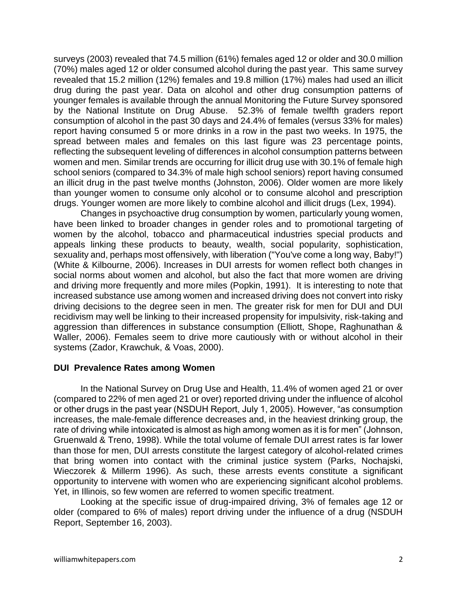surveys (2003) revealed that 74.5 million (61%) females aged 12 or older and 30.0 million (70%) males aged 12 or older consumed alcohol during the past year. This same survey revealed that 15.2 million (12%) females and 19.8 million (17%) males had used an illicit drug during the past year. Data on alcohol and other drug consumption patterns of younger females is available through the annual Monitoring the Future Survey sponsored by the National Institute on Drug Abuse. 52.3% of female twelfth graders report consumption of alcohol in the past 30 days and 24.4% of females (versus 33% for males) report having consumed 5 or more drinks in a row in the past two weeks. In 1975, the spread between males and females on this last figure was 23 percentage points, reflecting the subsequent leveling of differences in alcohol consumption patterns between women and men. Similar trends are occurring for illicit drug use with 30.1% of female high school seniors (compared to 34.3% of male high school seniors) report having consumed an illicit drug in the past twelve months (Johnston, 2006). Older women are more likely than younger women to consume only alcohol or to consume alcohol and prescription drugs. Younger women are more likely to combine alcohol and illicit drugs (Lex, 1994).

Changes in psychoactive drug consumption by women, particularly young women, have been linked to broader changes in gender roles and to promotional targeting of women by the alcohol, tobacco and pharmaceutical industries special products and appeals linking these products to beauty, wealth, social popularity, sophistication, sexuality and, perhaps most offensively, with liberation ("You've come a long way, Baby!") (White & Kilbourne, 2006). Increases in DUI arrests for women reflect both changes in social norms about women and alcohol, but also the fact that more women are driving and driving more frequently and more miles (Popkin, 1991). It is interesting to note that increased substance use among women and increased driving does not convert into risky driving decisions to the degree seen in men. The greater risk for men for DUI and DUI recidivism may well be linking to their increased propensity for impulsivity, risk-taking and aggression than differences in substance consumption (Elliott, Shope, Raghunathan & Waller, 2006). Females seem to drive more cautiously with or without alcohol in their systems (Zador, Krawchuk, & Voas, 2000).

#### **DUI Prevalence Rates among Women**

In the National Survey on Drug Use and Health, 11.4% of women aged 21 or over (compared to 22% of men aged 21 or over) reported driving under the influence of alcohol or other drugs in the past year (NSDUH Report, July 1, 2005). However, "as consumption increases, the male-female difference decreases and, in the heaviest drinking group, the rate of driving while intoxicated is almost as high among women as it is for men" (Johnson, Gruenwald & Treno, 1998). While the total volume of female DUI arrest rates is far lower than those for men, DUI arrests constitute the largest category of alcohol-related crimes that bring women into contact with the criminal justice system (Parks, Nochajski, Wieczorek & Millerm 1996). As such, these arrests events constitute a significant opportunity to intervene with women who are experiencing significant alcohol problems. Yet, in Illinois, so few women are referred to women specific treatment.

Looking at the specific issue of drug-impaired driving, 3% of females age 12 or older (compared to 6% of males) report driving under the influence of a drug (NSDUH Report, September 16, 2003).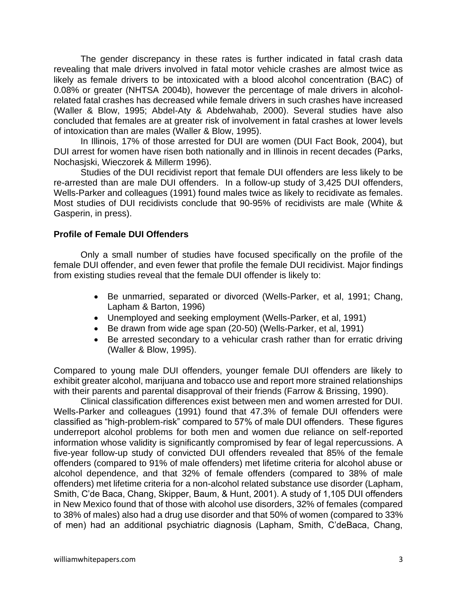The gender discrepancy in these rates is further indicated in fatal crash data revealing that male drivers involved in fatal motor vehicle crashes are almost twice as likely as female drivers to be intoxicated with a blood alcohol concentration (BAC) of 0.08% or greater (NHTSA 2004b), however the percentage of male drivers in alcoholrelated fatal crashes has decreased while female drivers in such crashes have increased (Waller & Blow, 1995; Abdel-Aty & Abdelwahab, 2000). Several studies have also concluded that females are at greater risk of involvement in fatal crashes at lower levels of intoxication than are males (Waller & Blow, 1995).

In Illinois, 17% of those arrested for DUI are women (DUI Fact Book, 2004), but DUI arrest for women have risen both nationally and in Illinois in recent decades (Parks, Nochasjski, Wieczorek & Millerm 1996).

Studies of the DUI recidivist report that female DUI offenders are less likely to be re-arrested than are male DUI offenders. In a follow-up study of 3,425 DUI offenders, Wells-Parker and colleagues (1991) found males twice as likely to recidivate as females. Most studies of DUI recidivists conclude that 90-95% of recidivists are male (White & Gasperin, in press).

### **Profile of Female DUI Offenders**

Only a small number of studies have focused specifically on the profile of the female DUI offender, and even fewer that profile the female DUI recidivist. Major findings from existing studies reveal that the female DUI offender is likely to:

- Be unmarried, separated or divorced (Wells-Parker, et al, 1991; Chang, Lapham & Barton, 1996)
- Unemployed and seeking employment (Wells-Parker, et al, 1991)
- Be drawn from wide age span (20-50) (Wells-Parker, et al, 1991)
- Be arrested secondary to a vehicular crash rather than for erratic driving (Waller & Blow, 1995).

Compared to young male DUI offenders, younger female DUI offenders are likely to exhibit greater alcohol, marijuana and tobacco use and report more strained relationships with their parents and parental disapproval of their friends (Farrow & Brissing, 1990).

Clinical classification differences exist between men and women arrested for DUI. Wells-Parker and colleagues (1991) found that 47.3% of female DUI offenders were classified as "high-problem-risk" compared to 57% of male DUI offenders. These figures underreport alcohol problems for both men and women due reliance on self-reported information whose validity is significantly compromised by fear of legal repercussions. A five-year follow-up study of convicted DUI offenders revealed that 85% of the female offenders (compared to 91% of male offenders) met lifetime criteria for alcohol abuse or alcohol dependence, and that 32% of female offenders (compared to 38% of male offenders) met lifetime criteria for a non-alcohol related substance use disorder (Lapham, Smith, C'de Baca, Chang, Skipper, Baum, & Hunt, 2001). A study of 1,105 DUI offenders in New Mexico found that of those with alcohol use disorders, 32% of females (compared to 38% of males) also had a drug use disorder and that 50% of women (compared to 33% of men) had an additional psychiatric diagnosis (Lapham, Smith, C'deBaca, Chang,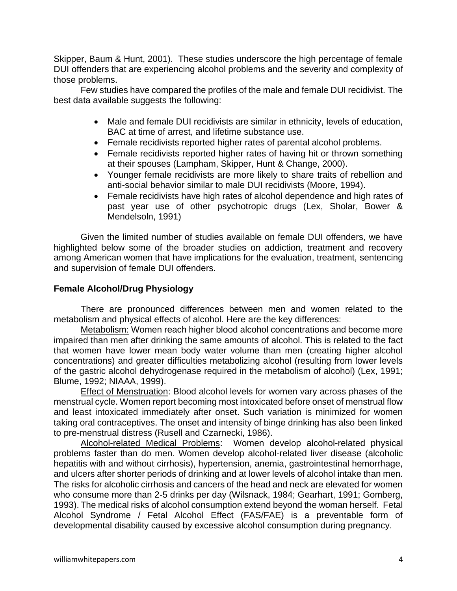Skipper, Baum & Hunt, 2001). These studies underscore the high percentage of female DUI offenders that are experiencing alcohol problems and the severity and complexity of those problems.

Few studies have compared the profiles of the male and female DUI recidivist. The best data available suggests the following:

- Male and female DUI recidivists are similar in ethnicity, levels of education, BAC at time of arrest, and lifetime substance use.
- Female recidivists reported higher rates of parental alcohol problems.
- Female recidivists reported higher rates of having hit or thrown something at their spouses (Lampham, Skipper, Hunt & Change, 2000).
- Younger female recidivists are more likely to share traits of rebellion and anti-social behavior similar to male DUI recidivists (Moore, 1994).
- Female recidivists have high rates of alcohol dependence and high rates of past year use of other psychotropic drugs (Lex, Sholar, Bower & Mendelsoln, 1991)

Given the limited number of studies available on female DUI offenders, we have highlighted below some of the broader studies on addiction, treatment and recovery among American women that have implications for the evaluation, treatment, sentencing and supervision of female DUI offenders.

# **Female Alcohol/Drug Physiology**

There are pronounced differences between men and women related to the metabolism and physical effects of alcohol. Here are the key differences:

Metabolism: Women reach higher blood alcohol concentrations and become more impaired than men after drinking the same amounts of alcohol. This is related to the fact that women have lower mean body water volume than men (creating higher alcohol concentrations) and greater difficulties metabolizing alcohol (resulting from lower levels of the gastric alcohol dehydrogenase required in the metabolism of alcohol) (Lex, 1991; Blume, 1992; NIAAA, 1999).

Effect of Menstruation: Blood alcohol levels for women vary across phases of the menstrual cycle. Women report becoming most intoxicated before onset of menstrual flow and least intoxicated immediately after onset. Such variation is minimized for women taking oral contraceptives. The onset and intensity of binge drinking has also been linked to pre-menstrual distress (Rusell and Czarnecki, 1986).

Alcohol-related Medical Problems: Women develop alcohol-related physical problems faster than do men. Women develop alcohol-related liver disease (alcoholic hepatitis with and without cirrhosis), hypertension, anemia, gastrointestinal hemorrhage, and ulcers after shorter periods of drinking and at lower levels of alcohol intake than men. The risks for alcoholic cirrhosis and cancers of the head and neck are elevated for women who consume more than 2-5 drinks per day (Wilsnack, 1984; Gearhart, 1991; Gomberg, 1993). The medical risks of alcohol consumption extend beyond the woman herself. Fetal Alcohol Syndrome / Fetal Alcohol Effect (FAS/FAE) is a preventable form of developmental disability caused by excessive alcohol consumption during pregnancy.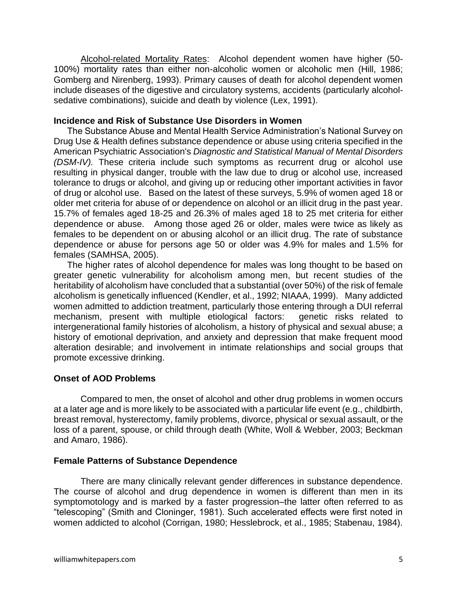Alcohol-related Mortality Rates: Alcohol dependent women have higher (50- 100%) mortality rates than either non-alcoholic women or alcoholic men (Hill, 1986; Gomberg and Nirenberg, 1993). Primary causes of death for alcohol dependent women include diseases of the digestive and circulatory systems, accidents (particularly alcoholsedative combinations), suicide and death by violence (Lex, 1991).

#### **Incidence and Risk of Substance Use Disorders in Women**

The Substance Abuse and Mental Health Service Administration's National Survey on Drug Use & Health defines substance dependence or abuse using criteria specified in the American Psychiatric Association's *Diagnostic and Statistical Manual of Mental Disorders (DSM-IV).* These criteria include such symptoms as recurrent drug or alcohol use resulting in physical danger, trouble with the law due to drug or alcohol use, increased tolerance to drugs or alcohol, and giving up or reducing other important activities in favor of drug or alcohol use. Based on the latest of these surveys, 5.9% of women aged 18 or older met criteria for abuse of or dependence on alcohol or an illicit drug in the past year. 15.7% of females aged 18-25 and 26.3% of males aged 18 to 25 met criteria for either dependence or abuse. Among those aged 26 or older, males were twice as likely as females to be dependent on or abusing alcohol or an illicit drug. The rate of substance dependence or abuse for persons age 50 or older was 4.9% for males and 1.5% for females (SAMHSA, 2005).

The higher rates of alcohol dependence for males was long thought to be based on greater genetic vulnerability for alcoholism among men, but recent studies of the heritability of alcoholism have concluded that a substantial (over 50%) of the risk of female alcoholism is genetically influenced (Kendler, et al., 1992; NIAAA, 1999). Many addicted women admitted to addiction treatment, particularly those entering through a DUI referral mechanism, present with multiple etiological factors: genetic risks related to intergenerational family histories of alcoholism, a history of physical and sexual abuse; a history of emotional deprivation, and anxiety and depression that make frequent mood alteration desirable; and involvement in intimate relationships and social groups that promote excessive drinking.

# **Onset of AOD Problems**

Compared to men, the onset of alcohol and other drug problems in women occurs at a later age and is more likely to be associated with a particular life event (e.g., childbirth, breast removal, hysterectomy, family problems, divorce, physical or sexual assault, or the loss of a parent, spouse, or child through death (White, Woll & Webber, 2003; Beckman and Amaro, 1986).

# **Female Patterns of Substance Dependence**

There are many clinically relevant gender differences in substance dependence. The course of alcohol and drug dependence in women is different than men in its symptomotology and is marked by a faster progression–the latter often referred to as "telescoping" (Smith and Cloninger, 1981). Such accelerated effects were first noted in women addicted to alcohol (Corrigan, 1980; Hesslebrock, et al., 1985; Stabenau, 1984).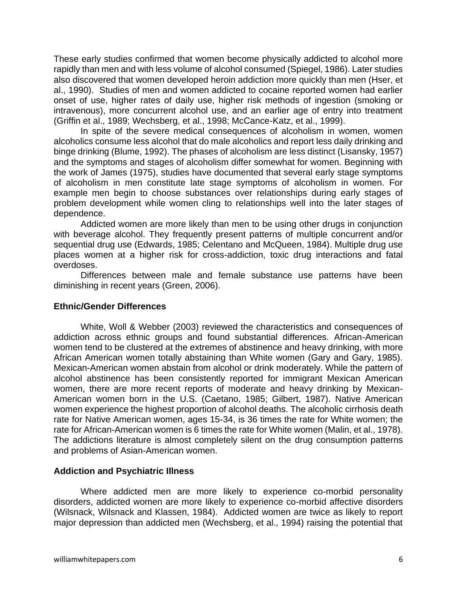These early studies confirmed that women become physically addicted to alcohol more rapidly than men and with less volume of alcohol consumed (Spiegel, 1986). Later studies also discovered that women developed heroin addiction more quickly than men (Hser, et al., 1990). Studies of men and women addicted to cocaine reported women had earlier onset of use, higher rates of daily use, higher risk methods of ingestion (smoking or intravenous), more concurrent alcohol use, and an earlier age of entry into treatment (Griffin et al., 1989; Wechsberg, et al., 1998; McCance-Katz, et al., 1999).

In spite of the severe medical consequences of alcoholism in women, women alcoholics consume less alcohol that do male alcoholics and report less daily drinking and binge drinking (Blume, 1992). The phases of alcoholism are less distinct (Lisansky, 1957) and the symptoms and stages of alcoholism differ somewhat for women. Beginning with the work of James (1975), studies have documented that several early stage symptoms of alcoholism in men constitute late stage symptoms of alcoholism in women. For example men begin to choose substances over relationships during early stages of problem development while women cling to relationships well into the later stages of dependence.

Addicted women are more likely than men to be using other drugs in conjunction with beverage alcohol. They frequently present patterns of multiple concurrent and/or sequential drug use (Edwards, 1985; Celentano and McQueen, 1984). Multiple drug use places women at a higher risk for cross-addiction, toxic drug interactions and fatal overdoses.

Differences between male and female substance use patterns have been diminishing in recent years (Green, 2006).

#### **Ethnic/Gender Differences**

White, Woll & Webber (2003) reviewed the characteristics and consequences of addiction across ethnic groups and found substantial differences. African-American women tend to be clustered at the extremes of abstinence and heavy drinking, with more African American women totally abstaining than White women (Gary and Gary, 1985). Mexican-American women abstain from alcohol or drink moderately. While the pattern of alcohol abstinence has been consistently reported for immigrant Mexican American women, there are more recent reports of moderate and heavy drinking by Mexican-American women born in the U.S. (Caetano, 1985; Gilbert, 1987). Native American women experience the highest proportion of alcohol deaths. The alcoholic cirrhosis death rate for Native American women, ages 15-34, is 36 times the rate for White women; the rate for African-American women is 6 times the rate for White women (Malin, et al., 1978). The addictions literature is almost completely silent on the drug consumption patterns and problems of Asian-American women.

# **Addiction and Psychiatric Illness**

Where addicted men are more likely to experience co-morbid personality disorders, addicted women are more likely to experience co-morbid affective disorders (Wilsnack, Wilsnack and Klassen, 1984). Addicted women are twice as likely to report major depression than addicted men (Wechsberg, et al., 1994) raising the potential that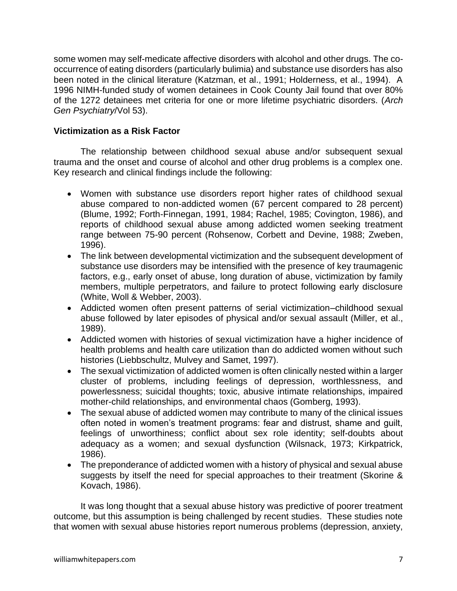some women may self-medicate affective disorders with alcohol and other drugs. The cooccurrence of eating disorders (particularly bulimia) and substance use disorders has also been noted in the clinical literature (Katzman, et al., 1991; Holderness, et al., 1994). A 1996 NIMH-funded study of women detainees in Cook County Jail found that over 80% of the 1272 detainees met criteria for one or more lifetime psychiatric disorders. (*Arch Gen Psychiatry*/Vol 53).

# **Victimization as a Risk Factor**

The relationship between childhood sexual abuse and/or subsequent sexual trauma and the onset and course of alcohol and other drug problems is a complex one. Key research and clinical findings include the following:

- Women with substance use disorders report higher rates of childhood sexual abuse compared to non-addicted women (67 percent compared to 28 percent) (Blume, 1992; Forth-Finnegan, 1991, 1984; Rachel, 1985; Covington, 1986), and reports of childhood sexual abuse among addicted women seeking treatment range between 75-90 percent (Rohsenow, Corbett and Devine, 1988; Zweben, 1996).
- The link between developmental victimization and the subsequent development of substance use disorders may be intensified with the presence of key traumagenic factors, e.g., early onset of abuse, long duration of abuse, victimization by family members, multiple perpetrators, and failure to protect following early disclosure (White, Woll & Webber, 2003).
- Addicted women often present patterns of serial victimization–childhood sexual abuse followed by later episodes of physical and/or sexual assault (Miller, et al., 1989).
- Addicted women with histories of sexual victimization have a higher incidence of health problems and health care utilization than do addicted women without such histories (Liebbschultz, Mulvey and Samet, 1997).
- The sexual victimization of addicted women is often clinically nested within a larger cluster of problems, including feelings of depression, worthlessness, and powerlessness; suicidal thoughts; toxic, abusive intimate relationships, impaired mother-child relationships, and environmental chaos (Gomberg, 1993).
- The sexual abuse of addicted women may contribute to many of the clinical issues often noted in women's treatment programs: fear and distrust, shame and guilt, feelings of unworthiness; conflict about sex role identity; self-doubts about adequacy as a women; and sexual dysfunction (Wilsnack, 1973; Kirkpatrick, 1986).
- The preponderance of addicted women with a history of physical and sexual abuse suggests by itself the need for special approaches to their treatment (Skorine & Kovach, 1986).

It was long thought that a sexual abuse history was predictive of poorer treatment outcome, but this assumption is being challenged by recent studies. These studies note that women with sexual abuse histories report numerous problems (depression, anxiety,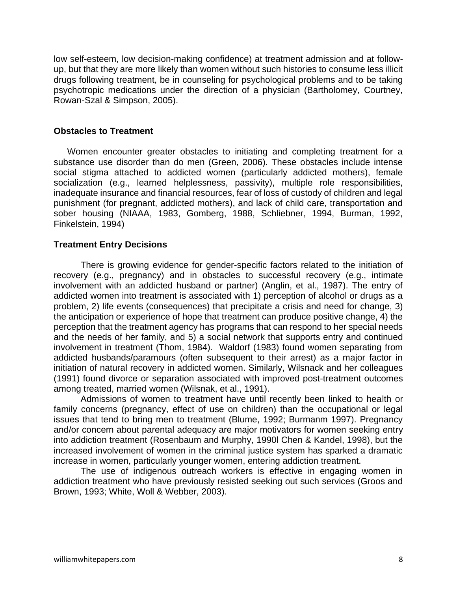low self-esteem, low decision-making confidence) at treatment admission and at followup, but that they are more likely than women without such histories to consume less illicit drugs following treatment, be in counseling for psychological problems and to be taking psychotropic medications under the direction of a physician (Bartholomey, Courtney, Rowan-Szal & Simpson, 2005).

#### **Obstacles to Treatment**

Women encounter greater obstacles to initiating and completing treatment for a substance use disorder than do men (Green, 2006). These obstacles include intense social stigma attached to addicted women (particularly addicted mothers), female socialization (e.g., learned helplessness, passivity), multiple role responsibilities, inadequate insurance and financial resources, fear of loss of custody of children and legal punishment (for pregnant, addicted mothers), and lack of child care, transportation and sober housing (NIAAA, 1983, Gomberg, 1988, Schliebner, 1994, Burman, 1992, Finkelstein, 1994)

#### **Treatment Entry Decisions**

There is growing evidence for gender-specific factors related to the initiation of recovery (e.g., pregnancy) and in obstacles to successful recovery (e.g., intimate involvement with an addicted husband or partner) (Anglin, et al., 1987). The entry of addicted women into treatment is associated with 1) perception of alcohol or drugs as a problem, 2) life events (consequences) that precipitate a crisis and need for change, 3) the anticipation or experience of hope that treatment can produce positive change, 4) the perception that the treatment agency has programs that can respond to her special needs and the needs of her family, and 5) a social network that supports entry and continued involvement in treatment (Thom, 1984). Waldorf (1983) found women separating from addicted husbands/paramours (often subsequent to their arrest) as a major factor in initiation of natural recovery in addicted women. Similarly, Wilsnack and her colleagues (1991) found divorce or separation associated with improved post-treatment outcomes among treated, married women (Wilsnak, et al., 1991).

Admissions of women to treatment have until recently been linked to health or family concerns (pregnancy, effect of use on children) than the occupational or legal issues that tend to bring men to treatment (Blume, 1992; Burmanm 1997). Pregnancy and/or concern about parental adequacy are major motivators for women seeking entry into addiction treatment (Rosenbaum and Murphy, 1990l Chen & Kandel, 1998), but the increased involvement of women in the criminal justice system has sparked a dramatic increase in women, particularly younger women, entering addiction treatment.

The use of indigenous outreach workers is effective in engaging women in addiction treatment who have previously resisted seeking out such services (Groos and Brown, 1993; White, Woll & Webber, 2003).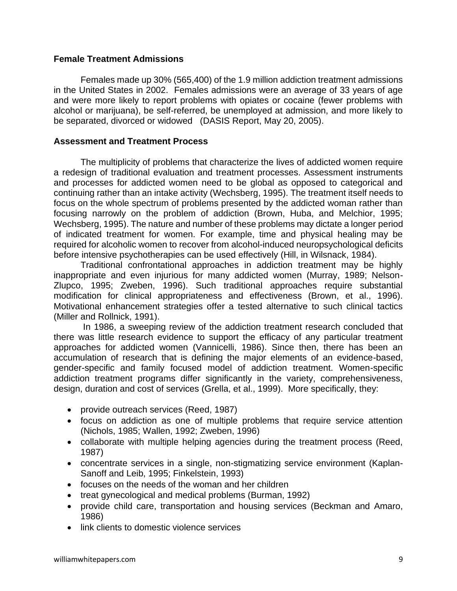#### **Female Treatment Admissions**

Females made up 30% (565,400) of the 1.9 million addiction treatment admissions in the United States in 2002. Females admissions were an average of 33 years of age and were more likely to report problems with opiates or cocaine (fewer problems with alcohol or marijuana), be self-referred, be unemployed at admission, and more likely to be separated, divorced or widowed (DASIS Report, May 20, 2005).

## **Assessment and Treatment Process**

The multiplicity of problems that characterize the lives of addicted women require a redesign of traditional evaluation and treatment processes. Assessment instruments and processes for addicted women need to be global as opposed to categorical and continuing rather than an intake activity (Wechsberg, 1995). The treatment itself needs to focus on the whole spectrum of problems presented by the addicted woman rather than focusing narrowly on the problem of addiction (Brown, Huba, and Melchior, 1995; Wechsberg, 1995). The nature and number of these problems may dictate a longer period of indicated treatment for women. For example, time and physical healing may be required for alcoholic women to recover from alcohol-induced neuropsychological deficits before intensive psychotherapies can be used effectively (Hill, in Wilsnack, 1984).

Traditional confrontational approaches in addiction treatment may be highly inappropriate and even injurious for many addicted women (Murray, 1989; Nelson-Zlupco, 1995; Zweben, 1996). Such traditional approaches require substantial modification for clinical appropriateness and effectiveness (Brown, et al., 1996). Motivational enhancement strategies offer a tested alternative to such clinical tactics (Miller and Rollnick, 1991).

In 1986, a sweeping review of the addiction treatment research concluded that there was little research evidence to support the efficacy of any particular treatment approaches for addicted women (Vannicelli, 1986). Since then, there has been an accumulation of research that is defining the major elements of an evidence-based, gender-specific and family focused model of addiction treatment. Women-specific addiction treatment programs differ significantly in the variety, comprehensiveness, design, duration and cost of services (Grella, et al., 1999). More specifically, they:

- provide outreach services (Reed, 1987)
- focus on addiction as one of multiple problems that require service attention (Nichols, 1985; Wallen, 1992; Zweben, 1996)
- collaborate with multiple helping agencies during the treatment process (Reed, 1987)
- concentrate services in a single, non-stigmatizing service environment (Kaplan-Sanoff and Leib, 1995; Finkelstein, 1993)
- focuses on the needs of the woman and her children
- treat gynecological and medical problems (Burman, 1992)
- provide child care, transportation and housing services (Beckman and Amaro, 1986)
- link clients to domestic violence services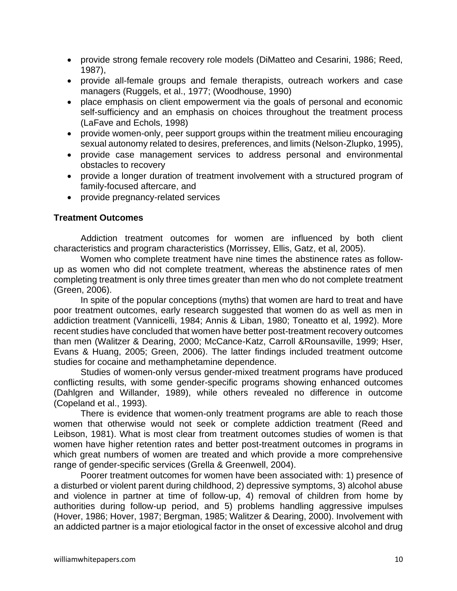- provide strong female recovery role models (DiMatteo and Cesarini, 1986; Reed, 1987),
- provide all-female groups and female therapists, outreach workers and case managers (Ruggels, et al., 1977; (Woodhouse, 1990)
- place emphasis on client empowerment via the goals of personal and economic self-sufficiency and an emphasis on choices throughout the treatment process (LaFave and Echols, 1998)
- provide women-only, peer support groups within the treatment milieu encouraging sexual autonomy related to desires, preferences, and limits (Nelson-Zlupko, 1995),
- provide case management services to address personal and environmental obstacles to recovery
- provide a longer duration of treatment involvement with a structured program of family-focused aftercare, and
- provide pregnancy-related services

# **Treatment Outcomes**

Addiction treatment outcomes for women are influenced by both client characteristics and program characteristics (Morrissey, Ellis, Gatz, et al, 2005).

Women who complete treatment have nine times the abstinence rates as followup as women who did not complete treatment, whereas the abstinence rates of men completing treatment is only three times greater than men who do not complete treatment (Green, 2006).

In spite of the popular conceptions (myths) that women are hard to treat and have poor treatment outcomes, early research suggested that women do as well as men in addiction treatment (Vannicelli, 1984; Annis & Liban, 1980; Toneatto et al, 1992). More recent studies have concluded that women have better post-treatment recovery outcomes than men (Walitzer & Dearing, 2000; McCance-Katz, Carroll &Rounsaville, 1999; Hser, Evans & Huang, 2005; Green, 2006). The latter findings included treatment outcome studies for cocaine and methamphetamine dependence.

Studies of women-only versus gender-mixed treatment programs have produced conflicting results, with some gender-specific programs showing enhanced outcomes (Dahlgren and Willander, 1989), while others revealed no difference in outcome (Copeland et al., 1993).

There is evidence that women-only treatment programs are able to reach those women that otherwise would not seek or complete addiction treatment (Reed and Leibson, 1981). What is most clear from treatment outcomes studies of women is that women have higher retention rates and better post-treatment outcomes in programs in which great numbers of women are treated and which provide a more comprehensive range of gender-specific services (Grella & Greenwell, 2004).

Poorer treatment outcomes for women have been associated with: 1) presence of a disturbed or violent parent during childhood, 2) depressive symptoms, 3) alcohol abuse and violence in partner at time of follow-up, 4) removal of children from home by authorities during follow-up period, and 5) problems handling aggressive impulses (Hover, 1986; Hover, 1987; Bergman, 1985; Walitzer & Dearing, 2000). Involvement with an addicted partner is a major etiological factor in the onset of excessive alcohol and drug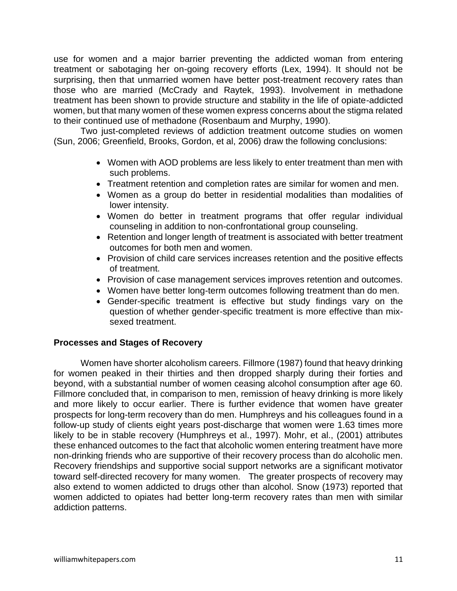use for women and a major barrier preventing the addicted woman from entering treatment or sabotaging her on-going recovery efforts (Lex, 1994). It should not be surprising, then that unmarried women have better post-treatment recovery rates than those who are married (McCrady and Raytek, 1993). Involvement in methadone treatment has been shown to provide structure and stability in the life of opiate-addicted women, but that many women of these women express concerns about the stigma related to their continued use of methadone (Rosenbaum and Murphy, 1990).

Two just-completed reviews of addiction treatment outcome studies on women (Sun, 2006; Greenfield, Brooks, Gordon, et al, 2006) draw the following conclusions:

- Women with AOD problems are less likely to enter treatment than men with such problems.
- Treatment retention and completion rates are similar for women and men.
- Women as a group do better in residential modalities than modalities of lower intensity.
- Women do better in treatment programs that offer regular individual counseling in addition to non-confrontational group counseling.
- Retention and longer length of treatment is associated with better treatment outcomes for both men and women.
- Provision of child care services increases retention and the positive effects of treatment.
- Provision of case management services improves retention and outcomes.
- Women have better long-term outcomes following treatment than do men.
- Gender-specific treatment is effective but study findings vary on the question of whether gender-specific treatment is more effective than mixsexed treatment.

#### **Processes and Stages of Recovery**

Women have shorter alcoholism careers. Fillmore (1987) found that heavy drinking for women peaked in their thirties and then dropped sharply during their forties and beyond, with a substantial number of women ceasing alcohol consumption after age 60. Fillmore concluded that, in comparison to men, remission of heavy drinking is more likely and more likely to occur earlier. There is further evidence that women have greater prospects for long-term recovery than do men. Humphreys and his colleagues found in a follow-up study of clients eight years post-discharge that women were 1.63 times more likely to be in stable recovery (Humphreys et al., 1997). Mohr, et al., (2001) attributes these enhanced outcomes to the fact that alcoholic women entering treatment have more non-drinking friends who are supportive of their recovery process than do alcoholic men. Recovery friendships and supportive social support networks are a significant motivator toward self-directed recovery for many women. The greater prospects of recovery may also extend to women addicted to drugs other than alcohol. Snow (1973) reported that women addicted to opiates had better long-term recovery rates than men with similar addiction patterns.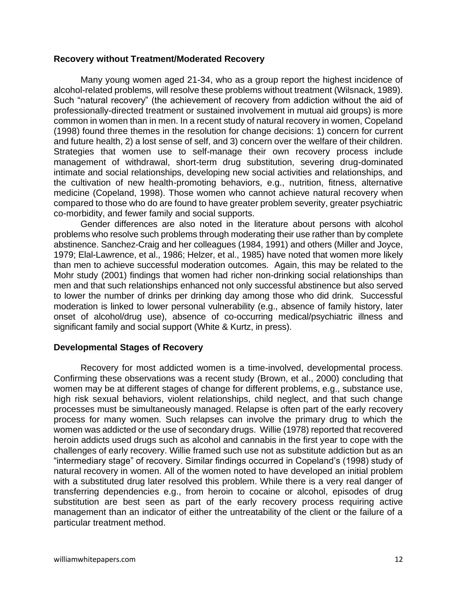#### **Recovery without Treatment/Moderated Recovery**

Many young women aged 21-34, who as a group report the highest incidence of alcohol-related problems, will resolve these problems without treatment (Wilsnack, 1989). Such "natural recovery" (the achievement of recovery from addiction without the aid of professionally-directed treatment or sustained involvement in mutual aid groups) is more common in women than in men. In a recent study of natural recovery in women, Copeland (1998) found three themes in the resolution for change decisions: 1) concern for current and future health, 2) a lost sense of self, and 3) concern over the welfare of their children. Strategies that women use to self-manage their own recovery process include management of withdrawal, short-term drug substitution, severing drug-dominated intimate and social relationships, developing new social activities and relationships, and the cultivation of new health-promoting behaviors, e.g., nutrition, fitness, alternative medicine (Copeland, 1998). Those women who cannot achieve natural recovery when compared to those who do are found to have greater problem severity, greater psychiatric co-morbidity, and fewer family and social supports.

Gender differences are also noted in the literature about persons with alcohol problems who resolve such problems through moderating their use rather than by complete abstinence. Sanchez-Craig and her colleagues (1984, 1991) and others (Miller and Joyce, 1979; Elal-Lawrence, et al., 1986; Helzer, et al., 1985) have noted that women more likely than men to achieve successful moderation outcomes. Again, this may be related to the Mohr study (2001) findings that women had richer non-drinking social relationships than men and that such relationships enhanced not only successful abstinence but also served to lower the number of drinks per drinking day among those who did drink. Successful moderation is linked to lower personal vulnerability (e.g., absence of family history, later onset of alcohol/drug use), absence of co-occurring medical/psychiatric illness and significant family and social support (White & Kurtz, in press).

# **Developmental Stages of Recovery**

Recovery for most addicted women is a time-involved, developmental process. Confirming these observations was a recent study (Brown, et al., 2000) concluding that women may be at different stages of change for different problems, e.g., substance use, high risk sexual behaviors, violent relationships, child neglect, and that such change processes must be simultaneously managed. Relapse is often part of the early recovery process for many women. Such relapses can involve the primary drug to which the women was addicted or the use of secondary drugs. Willie (1978) reported that recovered heroin addicts used drugs such as alcohol and cannabis in the first year to cope with the challenges of early recovery. Willie framed such use not as substitute addiction but as an "intermediary stage" of recovery. Similar findings occurred in Copeland's (1998) study of natural recovery in women. All of the women noted to have developed an initial problem with a substituted drug later resolved this problem. While there is a very real danger of transferring dependencies e.g., from heroin to cocaine or alcohol, episodes of drug substitution are best seen as part of the early recovery process requiring active management than an indicator of either the untreatability of the client or the failure of a particular treatment method.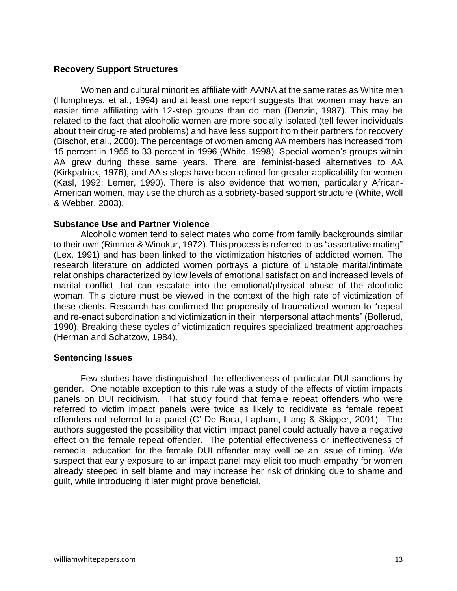#### **Recovery Support Structures**

Women and cultural minorities affiliate with AA/NA at the same rates as White men (Humphreys, et al., 1994) and at least one report suggests that women may have an easier time affiliating with 12-step groups than do men (Denzin, 1987). This may be related to the fact that alcoholic women are more socially isolated (tell fewer individuals about their drug-related problems) and have less support from their partners for recovery (Bischof, et al., 2000). The percentage of women among AA members has increased from 15 percent in 1955 to 33 percent in 1996 (White, 1998). Special women's groups within AA grew during these same years. There are feminist-based alternatives to AA (Kirkpatrick, 1976), and AA's steps have been refined for greater applicability for women (Kasl, 1992; Lerner, 1990). There is also evidence that women, particularly African-American women, may use the church as a sobriety-based support structure (White, Woll & Webber, 2003).

#### **Substance Use and Partner Violence**

Alcoholic women tend to select mates who come from family backgrounds similar to their own (Rimmer & Winokur, 1972). This process is referred to as "assortative mating" (Lex, 1991) and has been linked to the victimization histories of addicted women. The research literature on addicted women portrays a picture of unstable marital/intimate relationships characterized by low levels of emotional satisfaction and increased levels of marital conflict that can escalate into the emotional/physical abuse of the alcoholic woman. This picture must be viewed in the context of the high rate of victimization of these clients. Research has confirmed the propensity of traumatized women to "repeat and re-enact subordination and victimization in their interpersonal attachments" (Bollerud, 1990). Breaking these cycles of victimization requires specialized treatment approaches (Herman and Schatzow, 1984).

#### **Sentencing Issues**

Few studies have distinguished the effectiveness of particular DUI sanctions by gender. One notable exception to this rule was a study of the effects of victim impacts panels on DUI recidivism. That study found that female repeat offenders who were referred to victim impact panels were twice as likely to recidivate as female repeat offenders not referred to a panel (C' De Baca, Lapham, Liang & Skipper, 2001). The authors suggested the possibility that victim impact panel could actually have a negative effect on the female repeat offender. The potential effectiveness or ineffectiveness of remedial education for the female DUI offender may well be an issue of timing. We suspect that early exposure to an impact panel may elicit too much empathy for women already steeped in self blame and may increase her risk of drinking due to shame and guilt, while introducing it later might prove beneficial.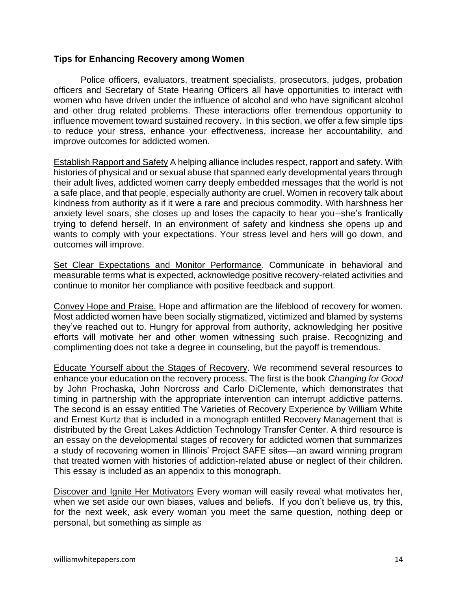#### **Tips for Enhancing Recovery among Women**

Police officers, evaluators, treatment specialists, prosecutors, judges, probation officers and Secretary of State Hearing Officers all have opportunities to interact with women who have driven under the influence of alcohol and who have significant alcohol and other drug related problems. These interactions offer tremendous opportunity to influence movement toward sustained recovery. In this section, we offer a few simple tips to reduce your stress, enhance your effectiveness, increase her accountability, and improve outcomes for addicted women.

Establish Rapport and Safety A helping alliance includes respect, rapport and safety. With histories of physical and or sexual abuse that spanned early developmental years through their adult lives, addicted women carry deeply embedded messages that the world is not a safe place, and that people, especially authority are cruel. Women in recovery talk about kindness from authority as if it were a rare and precious commodity. With harshness her anxiety level soars, she closes up and loses the capacity to hear you--she's frantically trying to defend herself. In an environment of safety and kindness she opens up and wants to comply with your expectations. Your stress level and hers will go down, and outcomes will improve.

Set Clear Expectations and Monitor Performance. Communicate in behavioral and measurable terms what is expected, acknowledge positive recovery-related activities and continue to monitor her compliance with positive feedback and support.

Convey Hope and Praise. Hope and affirmation are the lifeblood of recovery for women. Most addicted women have been socially stigmatized, victimized and blamed by systems they've reached out to. Hungry for approval from authority, acknowledging her positive efforts will motivate her and other women witnessing such praise. Recognizing and complimenting does not take a degree in counseling, but the payoff is tremendous.

Educate Yourself about the Stages of Recovery. We recommend several resources to enhance your education on the recovery process. The first is the book *Changing for Good* by John Prochaska, John Norcross and Carlo DiClemente, which demonstrates that timing in partnership with the appropriate intervention can interrupt addictive patterns. The second is an essay entitled The Varieties of Recovery Experience by William White and Ernest Kurtz that is included in a monograph entitled Recovery Management that is distributed by the Great Lakes Addiction Technology Transfer Center. A third resource is an essay on the developmental stages of recovery for addicted women that summarizes a study of recovering women in Illinois' Project SAFE sites—an award winning program that treated women with histories of addiction-related abuse or neglect of their children. This essay is included as an appendix to this monograph.

Discover and Ignite Her Motivators Every woman will easily reveal what motivates her, when we set aside our own biases, values and beliefs. If you don't believe us, try this, for the next week, ask every woman you meet the same question, nothing deep or personal, but something as simple as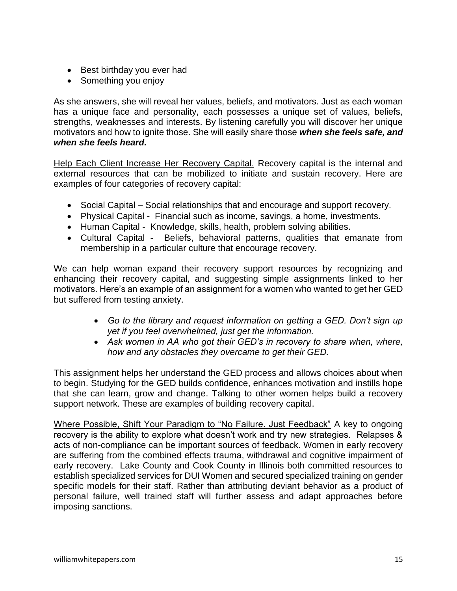- Best birthday you ever had
- Something you enjoy

As she answers, she will reveal her values, beliefs, and motivators. Just as each woman has a unique face and personality, each possesses a unique set of values, beliefs, strengths, weaknesses and interests. By listening carefully you will discover her unique motivators and how to ignite those. She will easily share those *when she feels safe, and when she feels heard.*

Help Each Client Increase Her Recovery Capital. Recovery capital is the internal and external resources that can be mobilized to initiate and sustain recovery. Here are examples of four categories of recovery capital:

- Social Capital Social relationships that and encourage and support recovery.
- Physical Capital Financial such as income, savings, a home, investments.
- Human Capital Knowledge, skills, health, problem solving abilities.
- Cultural Capital Beliefs, behavioral patterns, qualities that emanate from membership in a particular culture that encourage recovery.

We can help woman expand their recovery support resources by recognizing and enhancing their recovery capital, and suggesting simple assignments linked to her motivators. Here's an example of an assignment for a women who wanted to get her GED but suffered from testing anxiety.

- *Go to the library and request information on getting a GED. Don't sign up yet if you feel overwhelmed, just get the information.*
- *Ask women in AA who got their GED's in recovery to share when, where, how and any obstacles they overcame to get their GED.*

This assignment helps her understand the GED process and allows choices about when to begin. Studying for the GED builds confidence, enhances motivation and instills hope that she can learn, grow and change. Talking to other women helps build a recovery support network. These are examples of building recovery capital.

Where Possible, Shift Your Paradigm to "No Failure. Just Feedback" A key to ongoing recovery is the ability to explore what doesn't work and try new strategies. Relapses & acts of non-compliance can be important sources of feedback. Women in early recovery are suffering from the combined effects trauma, withdrawal and cognitive impairment of early recovery. Lake County and Cook County in Illinois both committed resources to establish specialized services for DUI Women and secured specialized training on gender specific models for their staff. Rather than attributing deviant behavior as a product of personal failure, well trained staff will further assess and adapt approaches before imposing sanctions.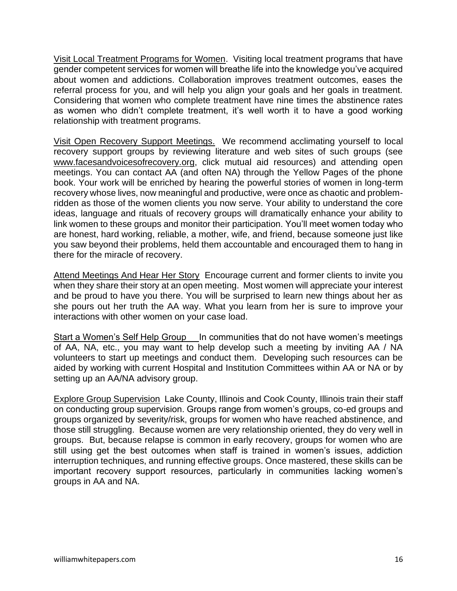Visit Local Treatment Programs for Women. Visiting local treatment programs that have gender competent services for women will breathe life into the knowledge you've acquired about women and addictions. Collaboration improves treatment outcomes, eases the referral process for you, and will help you align your goals and her goals in treatment. Considering that women who complete treatment have nine times the abstinence rates as women who didn't complete treatment, it's well worth it to have a good working relationship with treatment programs.

Visit Open Recovery Support Meetings. We recommend acclimating yourself to local recovery support groups by reviewing literature and web sites of such groups (see [www.facesandvoicesofrecovery.org,](http://www.facesandvoicesofrecovery.org/) click mutual aid resources) and attending open meetings. You can contact AA (and often NA) through the Yellow Pages of the phone book. Your work will be enriched by hearing the powerful stories of women in long-term recovery whose lives, now meaningful and productive, were once as chaotic and problemridden as those of the women clients you now serve. Your ability to understand the core ideas, language and rituals of recovery groups will dramatically enhance your ability to link women to these groups and monitor their participation. You'll meet women today who are honest, hard working, reliable, a mother, wife, and friend, because someone just like you saw beyond their problems, held them accountable and encouraged them to hang in there for the miracle of recovery.

Attend Meetings And Hear Her Story Encourage current and former clients to invite you when they share their story at an open meeting. Most women will appreciate your interest and be proud to have you there. You will be surprised to learn new things about her as she pours out her truth the AA way. What you learn from her is sure to improve your interactions with other women on your case load.

Start a Women's Self Help Group **In communities that do not have women's meetings** of AA, NA, etc., you may want to help develop such a meeting by inviting AA / NA volunteers to start up meetings and conduct them. Developing such resources can be aided by working with current Hospital and Institution Committees within AA or NA or by setting up an AA/NA advisory group.

Explore Group Supervision Lake County, Illinois and Cook County, Illinois train their staff on conducting group supervision. Groups range from women's groups, co-ed groups and groups organized by severity/risk, groups for women who have reached abstinence, and those still struggling. Because women are very relationship oriented, they do very well in groups. But, because relapse is common in early recovery, groups for women who are still using get the best outcomes when staff is trained in women's issues, addiction interruption techniques, and running effective groups. Once mastered, these skills can be important recovery support resources, particularly in communities lacking women's groups in AA and NA.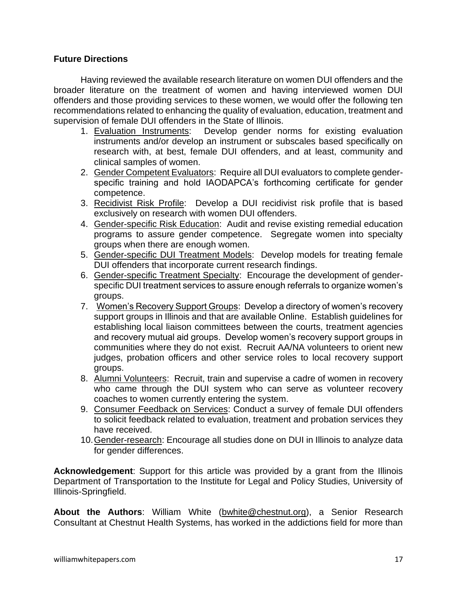# **Future Directions**

Having reviewed the available research literature on women DUI offenders and the broader literature on the treatment of women and having interviewed women DUI offenders and those providing services to these women, we would offer the following ten recommendations related to enhancing the quality of evaluation, education, treatment and supervision of female DUI offenders in the State of Illinois.

- 1. Evaluation Instruments: Develop gender norms for existing evaluation instruments and/or develop an instrument or subscales based specifically on research with, at best, female DUI offenders, and at least, community and clinical samples of women.
- 2. Gender Competent Evaluators: Require all DUI evaluators to complete genderspecific training and hold IAODAPCA's forthcoming certificate for gender competence.
- 3. Recidivist Risk Profile: Develop a DUI recidivist risk profile that is based exclusively on research with women DUI offenders.
- 4. Gender-specific Risk Education: Audit and revise existing remedial education programs to assure gender competence. Segregate women into specialty groups when there are enough women.
- 5. Gender-specific DUI Treatment Models: Develop models for treating female DUI offenders that incorporate current research findings.
- 6. Gender-specific Treatment Specialty: Encourage the development of genderspecific DUI treatment services to assure enough referrals to organize women's groups.
- 7. Women's Recovery Support Groups: Develop a directory of women's recovery support groups in Illinois and that are available Online. Establish guidelines for establishing local liaison committees between the courts, treatment agencies and recovery mutual aid groups. Develop women's recovery support groups in communities where they do not exist. Recruit AA/NA volunteers to orient new judges, probation officers and other service roles to local recovery support groups.
- 8. Alumni Volunteers: Recruit, train and supervise a cadre of women in recovery who came through the DUI system who can serve as volunteer recovery coaches to women currently entering the system.
- 9. Consumer Feedback on Services: Conduct a survey of female DUI offenders to solicit feedback related to evaluation, treatment and probation services they have received.
- 10.Gender-research: Encourage all studies done on DUI in Illinois to analyze data for gender differences.

**Acknowledgement**: Support for this article was provided by a grant from the Illinois Department of Transportation to the Institute for Legal and Policy Studies, University of Illinois-Springfield.

**About the Authors**: William White [\(bwhite@chestnut.org\)](mailto:bwhite@chestnut.org), a Senior Research Consultant at Chestnut Health Systems, has worked in the addictions field for more than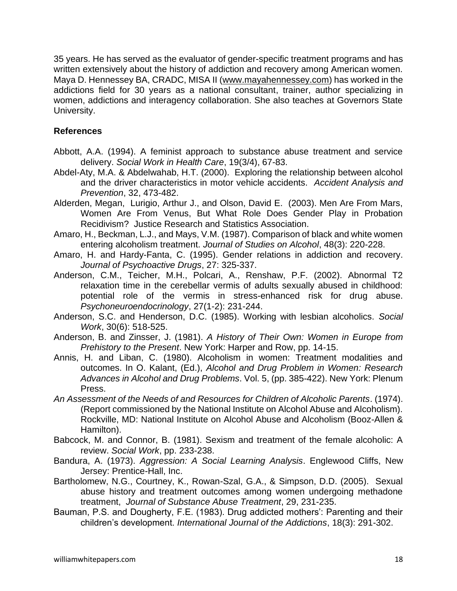35 years. He has served as the evaluator of gender-specific treatment programs and has written extensively about the history of addiction and recovery among American women. Maya D. Hennessey BA, CRADC, MISA II [\(www.mayahennessey.com\)](http://www.mayahennessey.com/) has worked in the addictions field for 30 years as a national consultant, trainer, author specializing in women, addictions and interagency collaboration. She also teaches at Governors State University.

# **References**

- Abbott, A.A. (1994). A feminist approach to substance abuse treatment and service delivery. *Social Work in Health Care*, 19(3/4), 67-83.
- Abdel-Aty, M.A. & Abdelwahab, H.T. (2000). Exploring the relationship between alcohol and the driver characteristics in motor vehicle accidents. *Accident Analysis and Prevention*, 32, 473-482.
- Alderden, Megan, Lurigio, Arthur J., and Olson, David E. (2003). Men Are From Mars, Women Are From Venus, But What Role Does Gender Play in Probation Recidivism? Justice Research and Statistics Association.
- Amaro, H., Beckman, L.J., and Mays, V.M. (1987). Comparison of black and white women entering alcoholism treatment. *Journal of Studies on Alcohol*, 48(3): 220-228.
- Amaro, H. and Hardy-Fanta, C. (1995). Gender relations in addiction and recovery. *Journal of Psychoactive Drugs*, 27: 325-337.
- Anderson, C.M., Teicher, M.H., Polcari, A., Renshaw, P.F. (2002). Abnormal T2 relaxation time in the cerebellar vermis of adults sexually abused in childhood: potential role of the vermis in stress-enhanced risk for drug abuse. *Psychoneuroendocrinology*, 27(1-2): 231-244.
- Anderson, S.C. and Henderson, D.C. (1985). Working with lesbian alcoholics. *Social Work*, 30(6): 518-525.
- Anderson, B. and Zinsser, J. (1981). *A History of Their Own: Women in Europe from Prehistory to the Present*. New York: Harper and Row, pp. 14-15.
- Annis, H. and Liban, C. (1980). Alcoholism in women: Treatment modalities and outcomes. In O. Kalant, (Ed.), *Alcohol and Drug Problem in Women: Research Advances in Alcohol and Drug Problems*. Vol. 5, (pp. 385-422). New York: Plenum Press.
- *An Assessment of the Needs of and Resources for Children of Alcoholic Parents*. (1974). (Report commissioned by the National Institute on Alcohol Abuse and Alcoholism). Rockville, MD: National Institute on Alcohol Abuse and Alcoholism (Booz-Allen & Hamilton).
- Babcock, M. and Connor, B. (1981). Sexism and treatment of the female alcoholic: A review. *Social Work*, pp. 233-238.
- Bandura, A. (1973). *Aggression: A Social Learning Analysis*. Englewood Cliffs, New Jersey: Prentice-Hall, Inc.
- Bartholomew, N.G., Courtney, K., Rowan-Szal, G.A., & Simpson, D.D. (2005). Sexual abuse history and treatment outcomes among women undergoing methadone treatment, *Journal of Substance Abuse Treatment*, 29, 231-235.
- Bauman, P.S. and Dougherty, F.E. (1983). Drug addicted mothers': Parenting and their children's development. *International Journal of the Addictions*, 18(3): 291-302.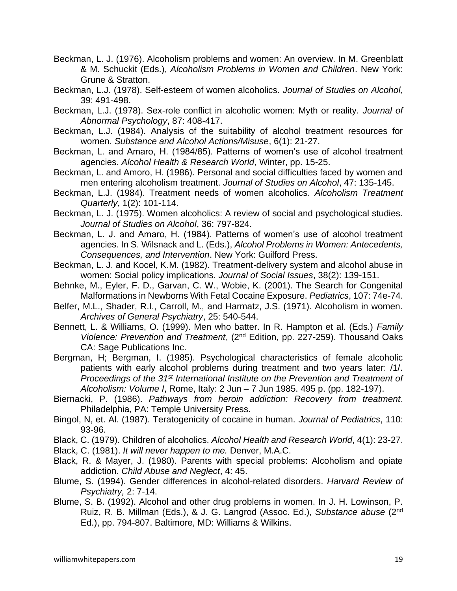- Beckman, L. J. (1976). Alcoholism problems and women: An overview. In M. Greenblatt & M. Schuckit (Eds.), *Alcoholism Problems in Women and Children*. New York: Grune & Stratton.
- Beckman, L.J. (1978). Self-esteem of women alcoholics. *Journal of Studies on Alcohol,* 39: 491-498.
- Beckman, L.J. (1978). Sex-role conflict in alcoholic women: Myth or reality. *Journal of Abnormal Psychology*, 87: 408-417.
- Beckman, L.J. (1984). Analysis of the suitability of alcohol treatment resources for women. *Substance and Alcohol Actions/Misuse*, 6(1): 21-27.
- Beckman, L. and Amaro, H. (1984/85). Patterns of women's use of alcohol treatment agencies. *Alcohol Health & Research World*, Winter, pp. 15-25.
- Beckman, L. and Amoro, H. (1986). Personal and social difficulties faced by women and men entering alcoholism treatment. *Journal of Studies on Alcohol*, 47: 135-145.
- Beckman, L.J. (1984). Treatment needs of women alcoholics. *Alcoholism Treatment Quarterly*, 1(2): 101-114.
- Beckman, L. J. (1975). Women alcoholics: A review of social and psychological studies. *Journal of Studies on Alcohol*, 36: 797-824.
- Beckman, L. J. and Amaro, H. (1984). Patterns of women's use of alcohol treatment agencies. In S. Wilsnack and L. (Eds.), *Alcohol Problems in Women: Antecedents, Consequences, and Intervention*. New York: Guilford Press.
- Beckman, L. J. and Kocel, K.M. (1982). Treatment-delivery system and alcohol abuse in women: Social policy implications. *Journal of Social Issues*, 38(2): 139-151.
- Behnke, M., Eyler, F. D., Garvan, C. W., Wobie, K. (2001). The Search for Congenital Malformations in Newborns With Fetal Cocaine Exposure. *Pediatrics*, 107: 74e-74.
- Belfer, M.L., Shader, R.I., Carroll, M., and Harmatz, J.S. (1971). Alcoholism in women. *Archives of General Psychiatry*, 25: 540-544.
- Bennett, L. & Williams, O. (1999). Men who batter. In R. Hampton et al. (Eds.) *Family Violence: Prevention and Treatment*, (2nd Edition, pp. 227-259). Thousand Oaks CA: Sage Publications Inc.
- Bergman, H; Bergman, I. (1985). Psychological characteristics of female alcoholic patients with early alcohol problems during treatment and two years later: /1/. *Proceedings of the 31st International Institute on the Prevention and Treatment of Alcoholism: Volume I*, Rome, Italy: 2 Jun – 7 Jun 1985. 495 p. (pp. 182-197).
- Biernacki, P. (1986). *Pathways from heroin addiction: Recovery from treatment*. Philadelphia, PA: Temple University Press.
- Bingol, N, et. Al. (1987). Teratogenicity of cocaine in human. *Journal of Pediatrics*, 110: 93-96.
- Black, C. (1979). Children of alcoholics. *Alcohol Health and Research World*, 4(1): 23-27.
- Black, C. (1981). *It will never happen to me.* Denver, M.A.C.
- Black, R. & Mayer, J. (1980). Parents with special problems: Alcoholism and opiate addiction. *Child Abuse and Neglect*, 4: 45.
- Blume, S. (1994). Gender differences in alcohol-related disorders. *Harvard Review of Psychiatry,* 2: 7-14.
- Blume, S. B. (1992). Alcohol and other drug problems in women. In J. H. Lowinson, P. Ruiz, R. B. Millman (Eds.), & J. G. Langrod (Assoc. Ed.), *Substance abuse* (2nd Ed.), pp. 794-807. Baltimore, MD: Williams & Wilkins.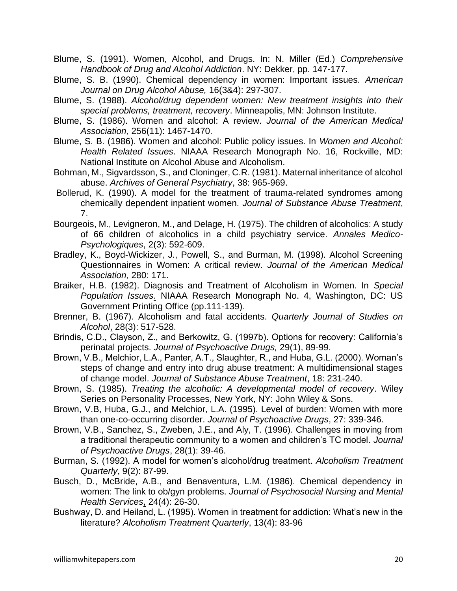Blume, S. (1991). Women, Alcohol, and Drugs. In: N. Miller (Ed.) *Comprehensive Handbook of Drug and Alcohol Addiction*. NY: Dekker, pp. 147-177.

- Blume, S. B. (1990). Chemical dependency in women: Important issues. *American Journal on Drug Alcohol Abuse,* 16(3&4): 297-307.
- Blume, S. (1988). *Alcohol/drug dependent women: New treatment insights into their special problems, treatment, recovery*. Minneapolis, MN: Johnson Institute.
- Blume, S. (1986). Women and alcohol: A review. *Journal of the American Medical Association,* 256(11): 1467-1470.
- Blume, S. B. (1986). Women and alcohol: Public policy issues. In *Women and Alcohol: Health Related Issues*. NIAAA Research Monograph No. 16, Rockville, MD: National Institute on Alcohol Abuse and Alcoholism.
- Bohman, M., Sigvardsson, S., and Cloninger, C.R. (1981). Maternal inheritance of alcohol abuse. *Archives of General Psychiatry*, 38: 965-969.
- Bollerud, K. (1990). A model for the treatment of trauma-related syndromes among chemically dependent inpatient women. *Journal of Substance Abuse Treatment*, 7.
- Bourgeois, M., Levigneron, M., and Delage, H. (1975). The children of alcoholics: A study of 66 children of alcoholics in a child psychiatry service. *Annales Medico-Psychologiques*, 2(3): 592-609.
- Bradley, K., Boyd-Wickizer, J., Powell, S., and Burman, M. (1998). Alcohol Screening Questionnaires in Women: A critical review. *Journal of the American Medical Association,* 280: 171.
- Braiker, H.B. (1982). Diagnosis and Treatment of Alcoholism in Women. In *Special Population Issues*. NIAAA Research Monograph No. 4, Washington, DC: US Government Printing Office (pp.111-139).
- Brenner, B. (1967). Alcoholism and fatal accidents. *Quarterly Journal of Studies on Alcohol*, 28(3): 517-528.
- Brindis, C.D., Clayson, Z., and Berkowitz, G. (1997b). Options for recovery: California's perinatal projects. *Journal of Psychoactive Drugs,* 29(1), 89-99.
- Brown, V.B., Melchior, L.A., Panter, A.T., Slaughter, R., and Huba, G.L. (2000). Woman's steps of change and entry into drug abuse treatment: A multidimensional stages of change model. *Journal of Substance Abuse Treatment*, 18: 231-240.
- Brown, S. (1985). *Treating the alcoholic: A developmental model of recovery*. Wiley Series on Personality Processes, New York, NY: John Wiley & Sons.
- Brown, V.B, Huba, G.J., and Melchior, L.A. (1995). Level of burden: Women with more than one-co-occurring disorder. *Journal of Psychoactive Drugs*, 27: 339-346.
- Brown, V.B., Sanchez, S., Zweben, J.E., and Aly, T. (1996). Challenges in moving from a traditional therapeutic community to a women and children's TC model. *Journal of Psychoactive Drugs*, 28(1): 39-46.
- Burman, S. (1992). A model for women's alcohol/drug treatment. *Alcoholism Treatment Quarterly*, 9(2): 87-99.
- Busch, D., McBride, A.B., and Benaventura, L.M. (1986). Chemical dependency in women: The link to ob/gyn problems. *Journal of Psychosocial Nursing and Mental Health Services*, 24(4): 26-30.
- Bushway, D. and Heiland, L. (1995). Women in treatment for addiction: What's new in the literature? *Alcoholism Treatment Quarterly*, 13(4): 83-96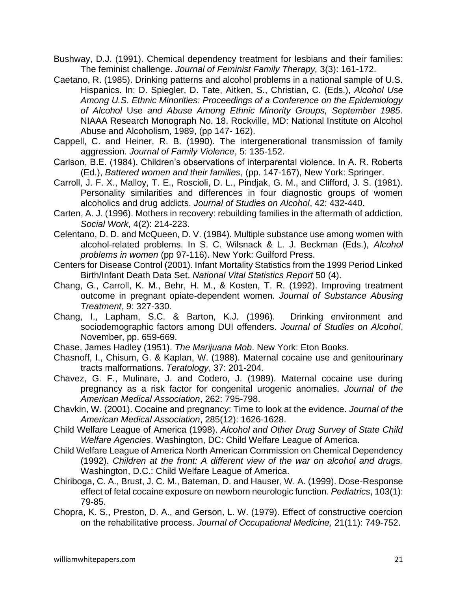Bushway, D.J. (1991). Chemical dependency treatment for lesbians and their families: The feminist challenge. *Journal of Feminist Family Therapy,* 3(3): 161-172.

- Caetano, R. (1985). Drinking patterns and alcohol problems in a national sample of U.S. Hispanics. In: D. Spiegler, D. Tate, Aitken, S., Christian, C. (Eds.), *Alcohol Use Among U.S. Ethnic Minorities: Proceedings of a Conference on the Epidemiology of Alcohol* Use *and Abuse Among Ethnic Minority Groups, September 1985*. NIAAA Research Monograph No. 18. Rockville, MD: National Institute on Alcohol Abuse and Alcoholism, 1989, (pp 147- 162).
- Cappell, C. and Heiner, R. B. (1990). The intergenerational transmission of family aggression. *Journal of Family Violence*, 5: 135-152.
- Carlson, B.E. (1984). Children's observations of interparental violence. In A. R. Roberts (Ed.), *Battered women and their families*, (pp. 147-167), New York: Springer.
- Carroll, J. F. X., Malloy, T. E., Roscioli, D. L., Pindjak, G. M., and Clifford, J. S. (1981). Personality similarities and differences in four diagnostic groups of women alcoholics and drug addicts. *Journal of Studies on Alcohol*, 42: 432-440.
- Carten, A. J. (1996). Mothers in recovery: rebuilding families in the aftermath of addiction. *Social Work*, 4(2): 214-223.
- Celentano, D. D. and McQueen, D. V. (1984). Multiple substance use among women with alcohol-related problems. In S. C. Wilsnack & L. J. Beckman (Eds.), *Alcohol problems in women* (pp 97-116). New York: Guilford Press.
- Centers for Disease Control (2001). Infant Mortality Statistics from the 1999 Period Linked Birth/Infant Death Data Set. *National Vital Statistics Report* 50 (4).
- Chang, G., Carroll, K. M., Behr, H. M., & Kosten, T. R. (1992). Improving treatment outcome in pregnant opiate-dependent women. *Journal of Substance Abusing Treatment*, 9: 327-330.
- Chang, I., Lapham, S.C. & Barton, K.J. (1996). Drinking environment and sociodemographic factors among DUI offenders. *Journal of Studies on Alcohol*, November, pp. 659-669.
- Chase, James Hadley (1951). *The Marijuana Mob*. New York: Eton Books.
- Chasnoff, I., Chisum, G. & Kaplan, W. (1988). Maternal cocaine use and genitourinary tracts malformations. *Teratology*, 37: 201-204.
- Chavez, G. F., Mulinare, J. and Codero, J. (1989). Maternal cocaine use during pregnancy as a risk factor for congenital urogenic anomalies. *Journal of the American Medical Association*, 262: 795-798.
- Chavkin, W. (2001). Cocaine and pregnancy: Time to look at the evidence. *Journal of the American Medical Association*, 285(12): 1626-1628.
- Child Welfare League of America (1998). *Alcohol and Other Drug Survey of State Child Welfare Agencies*. Washington, DC: Child Welfare League of America.
- Child Welfare League of America North American Commission on Chemical Dependency (1992). *Children at the front: A different view of the war on alcohol and drugs.*  Washington, D.C.: Child Welfare League of America.
- Chiriboga, C. A., Brust, J. C. M., Bateman, D. and Hauser, W. A. (1999). Dose-Response effect of fetal cocaine exposure on newborn neurologic function. *Pediatrics*, 103(1): 79-85.
- Chopra, K. S., Preston, D. A., and Gerson, L. W. (1979). Effect of constructive coercion on the rehabilitative process. *Journal of Occupational Medicine,* 21(11): 749-752.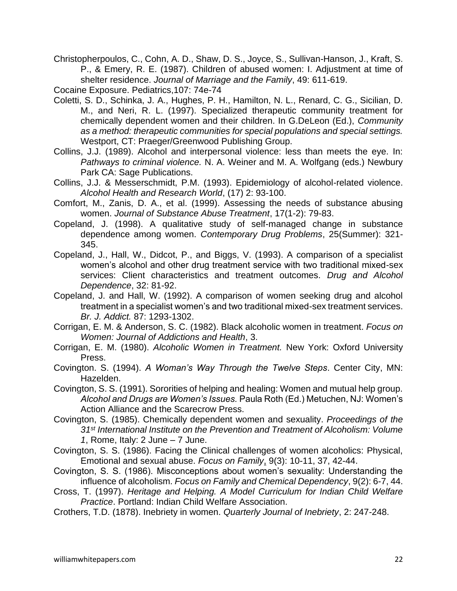Christopherpoulos, C., Cohn, A. D., Shaw, D. S., Joyce, S., Sullivan-Hanson, J., Kraft, S. P., & Emery, R. E. (1987). Children of abused women: I. Adjustment at time of shelter residence. *Journal of Marriage and the Family*, 49: 611-619.

Cocaine Exposure. Pediatrics,107: 74e-74

- Coletti, S. D., Schinka, J. A., Hughes, P. H., Hamilton, N. L., Renard, C. G., Sicilian, D. M., and Neri, R. L. (1997). Specialized therapeutic community treatment for chemically dependent women and their children. In G.DeLeon (Ed.), *Community as a method: therapeutic communities for special populations and special settings.*  Westport, CT: Praeger/Greenwood Publishing Group.
- Collins, J.J. (1989). Alcohol and interpersonal violence: less than meets the eye. In: *Pathways to criminal violence.* N. A. Weiner and M. A. Wolfgang (eds.) Newbury Park CA: Sage Publications.
- Collins, J.J. & Messerschmidt, P.M. (1993). Epidemiology of alcohol-related violence. *Alcohol Health and Research World*, (17) 2: 93-100.
- Comfort, M., Zanis, D. A., et al. (1999). Assessing the needs of substance abusing women. *Journal of Substance Abuse Treatment*, 17(1-2): 79-83.
- Copeland, J. (1998). A qualitative study of self-managed change in substance dependence among women. *Contemporary Drug Problems*, 25(Summer): 321- 345.
- Copeland, J., Hall, W., Didcot, P., and Biggs, V. (1993). A comparison of a specialist women's alcohol and other drug treatment service with two traditional mixed-sex services: Client characteristics and treatment outcomes. *Drug and Alcohol Dependence*, 32: 81-92.
- Copeland, J. and Hall, W. (1992). A comparison of women seeking drug and alcohol treatment in a specialist women's and two traditional mixed-sex treatment services. *Br. J. Addict.* 87: 1293-1302.
- Corrigan, E. M. & Anderson, S. C. (1982). Black alcoholic women in treatment. *Focus on Women: Journal of Addictions and Health*, 3.
- Corrigan, E. M. (1980). *Alcoholic Women in Treatment.* New York: Oxford University Press.
- Covington. S. (1994). *A Woman's Way Through the Twelve Steps*. Center City, MN: Hazelden.
- Covington, S. S. (1991). Sororities of helping and healing: Women and mutual help group. *Alcohol and Drugs are Women's Issues.* Paula Roth (Ed.) Metuchen, NJ: Women's Action Alliance and the Scarecrow Press.
- Covington, S. (1985). Chemically dependent women and sexuality. *Proceedings of the 31st International Institute on the Prevention and Treatment of Alcoholism: Volume 1*, Rome, Italy: 2 June – 7 June.
- Covington, S. S. (1986). Facing the Clinical challenges of women alcoholics: Physical, Emotional and sexual abuse. *Focus on Family*, 9(3): 10-11, 37, 42-44.
- Covington, S. S. (1986). Misconceptions about women's sexuality: Understanding the influence of alcoholism. *Focus on Family and Chemical Dependency*, 9(2): 6-7, 44.
- Cross, T. (1997). *Heritage and Helping. A Model Curriculum for Indian Child Welfare Practice*. Portland: Indian Child Welfare Association.
- Crothers, T.D. (1878). Inebriety in women. *Quarterly Journal of Inebriety*, 2: 247-248.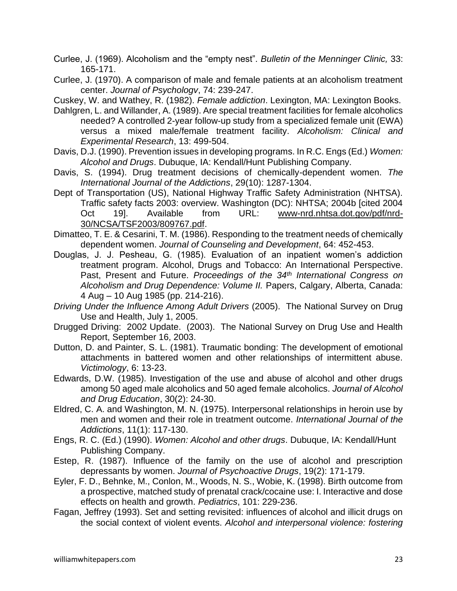Curlee, J. (1969). Alcoholism and the "empty nest". *Bulletin of the Menninger Clinic,* 33: 165-171.

Curlee, J. (1970). A comparison of male and female patients at an alcoholism treatment center. *Journal of Psychologv*, 74: 239-247.

Cuskey, W. and Wathey, R. (1982). *Female addiction*. Lexington, MA: Lexington Books.

- Dahlgren, L. and Willander, A. (1989). Are special treatment facilities for female alcoholics needed? A controlled 2-year follow-up study from a specialized female unit (EWA) versus a mixed male/female treatment facility. *Alcoholism: Clinical and Experimental Research*, 13: 499-504.
- Davis, D.J. (1990). Prevention issues in developing programs. In R.C. Engs (Ed.) *Women: Alcohol and Drugs*. Dubuque, IA: Kendall/Hunt Publishing Company.
- Davis, S. (1994). Drug treatment decisions of chemically-dependent women. *The International Journal of the Addictions*, 29(10): 1287-1304.
- Dept of Transportation (US), National Highway Traffic Safety Administration (NHTSA). Traffic safety facts 2003: overview. Washington (DC): NHTSA; 2004b [cited 2004 Oct 19]. Available from URL: [www-nrd.nhtsa.dot.gov/pdf/nrd-](http://www.cdc.gov/ncipc/factsheets/www-nrd.nhtsa.dot.gov/pdf/nrd-30/NCSA/TSF2003/809767.pdf)[30/NCSA/TSF2003/809767.pdf.](http://www.cdc.gov/ncipc/factsheets/www-nrd.nhtsa.dot.gov/pdf/nrd-30/NCSA/TSF2003/809767.pdf)
- Dimatteo, T. E. & Cesarini, T. M. (1986). Responding to the treatment needs of chemically dependent women. *Journal of Counseling and Development*, 64: 452-453.
- Douglas, J. J. Pesheau, G. (1985). Evaluation of an inpatient women's addiction treatment program. Alcohol, Drugs and Tobacco: An International Perspective. Past, Present and Future. *Proceedings of the 34th International Congress on Alcoholism and Drug Dependence: Volume II.* Papers, Calgary, Alberta, Canada: 4 Aug – 10 Aug 1985 (pp. 214-216).
- *Driving Under the Influence Among Adult Drivers* (2005). The National Survey on Drug Use and Health, July 1, 2005.
- Drugged Driving: 2002 Update. (2003). The National Survey on Drug Use and Health Report, September 16, 2003.
- Dutton, D. and Painter, S. L. (1981). Traumatic bonding: The development of emotional attachments in battered women and other relationships of intermittent abuse. *Victimology*, 6: 13-23.
- Edwards, D.W. (1985). Investigation of the use and abuse of alcohol and other drugs among 50 aged male alcoholics and 50 aged female alcoholics. *Journal of Alcohol and Drug Education*, 30(2): 24-30.
- Eldred, C. A. and Washington, M. N. (1975). Interpersonal relationships in heroin use by men and women and their role in treatment outcome. *International Journal of the Addictions*, 11(1): 117-130.
- Engs, R. C. (Ed.) (1990). *Women: Alcohol and other drugs*. Dubuque, IA: Kendall/Hunt Publishing Company.
- Estep, R. (1987). Influence of the family on the use of alcohol and prescription depressants by women. *Journal of Psychoactive Drugs*, 19(2): 171-179.
- Eyler, F. D., Behnke, M., Conlon, M., Woods, N. S., Wobie, K. (1998). Birth outcome from a prospective, matched study of prenatal crack/cocaine use: I. Interactive and dose effects on health and growth. *Pediatrics*, 101: 229-236.
- Fagan, Jeffrey (1993). Set and setting revisited: influences of alcohol and illicit drugs on the social context of violent events. *Alcohol and interpersonal violence: fostering*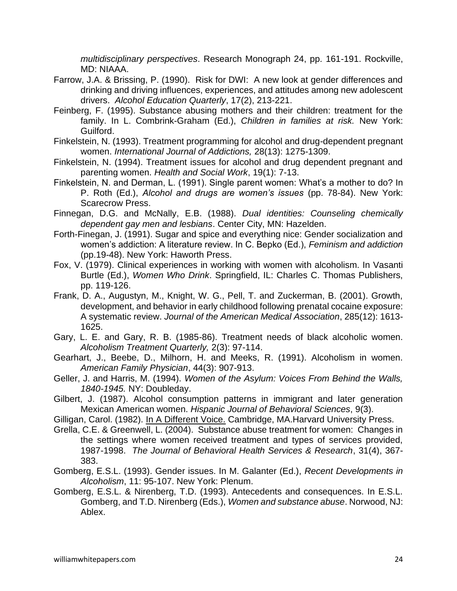*multidisciplinary perspectives*. Research Monograph 24, pp. 161-191. Rockville, MD: NIAAA.

- Farrow, J.A. & Brissing, P. (1990). Risk for DWI: A new look at gender differences and drinking and driving influences, experiences, and attitudes among new adolescent drivers. *Alcohol Education Quarterly*, 17(2), 213-221.
- Feinberg, F. (1995). Substance abusing mothers and their children: treatment for the family. In L. Combrink-Graham (Ed.), *Children in families at risk.* New York: Guilford.
- Finkelstein, N. (1993). Treatment programming for alcohol and drug-dependent pregnant women. *International Journal of Addictions,* 28(13): 1275-1309.
- Finkelstein, N. (1994). Treatment issues for alcohol and drug dependent pregnant and parenting women. *Health and Social Work*, 19(1): 7-13.
- Finkelstein, N. and Derman, L. (1991). Single parent women: What's a mother to do? In P. Roth (Ed.), *Alcohol and drugs are women's issues* (pp. 78-84). New York: Scarecrow Press.
- Finnegan, D.G. and McNally, E.B. (1988). *Dual identities: Counseling chemically dependent gay men and lesbians*. Center City, MN: Hazelden.
- Forth-Finegan, J. (1991). Sugar and spice and everything nice: Gender socialization and women's addiction: A literature review. In C. Bepko (Ed.), *Feminism and addiction*  (pp.19-48). New York: Haworth Press.
- Fox, V. (1979). Clinical experiences in working with women with alcoholism. In Vasanti Burtle (Ed.), *Women Who Drink*. Springfield, IL: Charles C. Thomas Publishers, pp. 119-126.
- Frank, D. A., Augustyn, M., Knight, W. G., Pell, T. and Zuckerman, B. (2001). Growth, development, and behavior in early childhood following prenatal cocaine exposure: A systematic review. *Journal of the American Medical Association*, 285(12): 1613- 1625.
- Gary, L. E. and Gary, R. B. (1985-86). Treatment needs of black alcoholic women. *Alcoholism Treatment Quarterly,* 2(3): 97-114.
- Gearhart, J., Beebe, D., Milhorn, H. and Meeks, R. (1991). Alcoholism in women. *American Family Physician*, 44(3): 907-913.
- Geller, J. and Harris, M. (1994). *Women of the Asylum: Voices From Behind the Walls, 1840-1945.* NY: Doubleday.
- Gilbert, J. (1987). Alcohol consumption patterns in immigrant and later generation Mexican American women. *Hispanic Journal of Behavioral Sciences*, 9(3).
- Gilligan, Carol. (1982). In A Different Voice. Cambridge, MA.Harvard University Press.
- Grella, C.E. & Greenwell, L. (2004). Substance abuse treatment for women: Changes in the settings where women received treatment and types of services provided, 1987-1998. *The Journal of Behavioral Health Services & Research*, 31(4), 367- 383.
- Gomberg, E.S.L. (1993). Gender issues. In M. Galanter (Ed.), *Recent Developments in Alcoholism*, 11: 95-107. New York: Plenum.
- Gomberg, E.S.L. & Nirenberg, T.D. (1993). Antecedents and consequences. In E.S.L. Gomberg, and T.D. Nirenberg (Eds.), *Women and substance abuse*. Norwood, NJ: Ablex.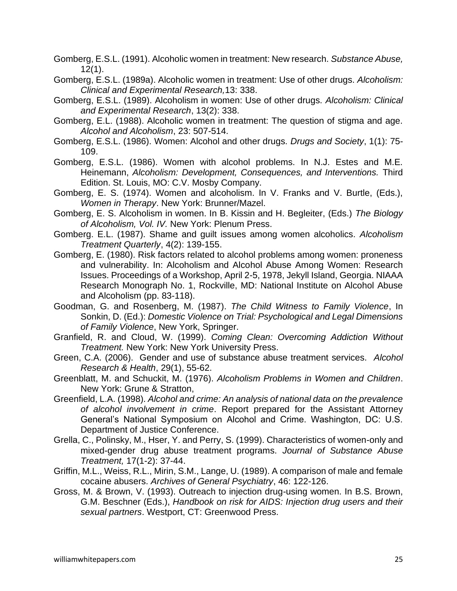Gomberg, E.S.L. (1991). Alcoholic women in treatment: New research. *Substance Abuse,* 12(1).

- Gomberg, E.S.L. (1989a). Alcoholic women in treatment: Use of other drugs. *Alcoholism: Clinical and Experimental Research,*13: 338.
- Gomberg, E.S.L. (1989). Alcoholism in women: Use of other drugs. *Alcoholism: Clinical and Experimental Research*, 13(2): 338.
- Gomberg, E.L. (1988). Alcoholic women in treatment: The question of stigma and age. *Alcohol and Alcoholism*, 23: 507-514.
- Gomberg, E.S.L. (1986). Women: Alcohol and other drugs. *Drugs and Society*, 1(1): 75- 109.
- Gomberg, E.S.L. (1986). Women with alcohol problems. In N.J. Estes and M.E. Heinemann, *Alcoholism: Development, Consequences, and Interventions.* Third Edition. St. Louis, MO: C.V. Mosby Company.
- Gomberg, E. S. (1974). Women and alcoholism. In V. Franks and V. Burtle, (Eds.), *Women in Therapy*. New York: Brunner/Mazel.
- Gomberg, E. S. Alcoholism in women. In B. Kissin and H. Begleiter, (Eds.) *The Biology of Alcoholism, Vol. IV.* New York: Plenum Press.
- Gomberg. E.L. (1987). Shame and guilt issues among women alcoholics. *Alcoholism Treatment Quarterly*, 4(2): 139-155.
- Gomberg, E. (1980). Risk factors related to alcohol problems among women: proneness and vulnerability. In: Alcoholism and Alcohol Abuse Among Women: Research Issues. Proceedings of a Workshop, April 2-5, 1978, Jekyll Island, Georgia. NIAAA Research Monograph No. 1, Rockville, MD: National Institute on Alcohol Abuse and Alcoholism (pp. 83-118).
- Goodman, G. and Rosenberg, M. (1987). *The Child Witness to Family Violence*, In Sonkin, D. (Ed.): *Domestic Violence on Trial: Psychological and Legal Dimensions of Family Violence*, New York, Springer.
- Granfield, R. and Cloud, W. (1999). *Coming Clean: Overcoming Addiction Without Treatment.* New York: New York University Press.
- Green, C.A. (2006). Gender and use of substance abuse treatment services. *Alcohol Research & Health*, 29(1), 55-62.
- Greenblatt, M. and Schuckit, M. (1976). *Alcoholism Problems in Women and Children*. New York: Grune & Stratton,
- Greenfield, L.A. (1998). *Alcohol and crime: An analysis of national data on the prevalence of alcohol involvement in crime*. Report prepared for the Assistant Attorney General's National Symposium on Alcohol and Crime. Washington, DC: U.S. Department of Justice Conference.
- Grella, C., Polinsky, M., Hser, Y. and Perry, S. (1999). Characteristics of women-only and mixed-gender drug abuse treatment programs. *Journal of Substance Abuse Treatment,* 17(1-2): 37-44.
- Griffin, M.L., Weiss, R.L., Mirin, S.M., Lange, U. (1989). A comparison of male and female cocaine abusers. *Archives of General Psychiatry*, 46: 122-126.
- Gross, M. & Brown, V. (1993). Outreach to injection drug-using women. In B.S. Brown, G.M. Beschner (Eds.), *Handbook on risk for AIDS: Injection drug users and their sexual partners*. Westport, CT: Greenwood Press.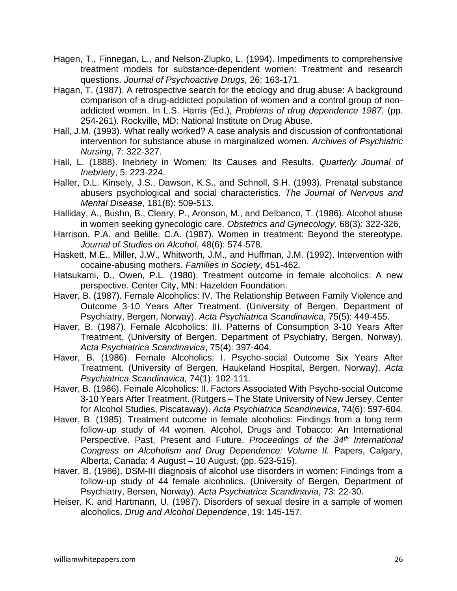- Hagen, T., Finnegan, L., and Nelson-Zlupko, L. (1994). Impediments to comprehensive treatment models for substance-dependent women: Treatment and research questions. *Journal of Psychoactive Drugs,* 26: 163-171.
- Hagan, T. (1987). A retrospective search for the etiology and drug abuse: A background comparison of a drug-addicted population of women and a control group of nonaddicted women. In L.S. Harris (Ed.), *Problems of drug dependence 1987*, (pp. 254-261). Rockville, MD: National Institute on Drug Abuse.
- Hall, J.M. (1993). What really worked? A case analysis and discussion of confrontational intervention for substance abuse in marginalized women. *Archives of Psychiatric Nursing*, 7: 322-327.
- Hall, L. (1888). Inebriety in Women: Its Causes and Results. *Quarterly Journal of Inebriety*, 5: 223-224.
- Haller, D.L. Kinsely, J.S., Dawson, K.S., and Schnoll, S.H. (1993). Prenatal substance abusers psychological and social characteristics. *The Journal of Nervous and Mental Disease*, 181(8): 509-513.
- Halliday, A., Bushn, B., Cleary, P., Aronson, M., and Delbanco, T. (1986). Alcohol abuse in women seeking gynecologic care. *Obstetrics and Gynecology*, 68(3): 322-326,
- Harrison, P.A. and Belille, C.A. (1987). Women in treatment: Beyond the stereotype. *Journal of Studies on Alcohol*, 48(6): 574-578.
- Haskett, M.E., Miller, J.W., Whitworth, J.M., and Huffman, J.M. (1992). Intervention with cocaine-abusing mothers. *Families in Society*, 451-462.
- Hatsukami, D., Owen, P.L. (1980). Treatment outcome in female alcoholics: A new perspective. Center City, MN: Hazelden Foundation.
- Haver, B. (1987). Female Alcoholics: IV. The Relationship Between Family Violence and Outcome 3-10 Years After Treatment. (University of Bergen, Department of Psychiatry, Bergen, Norway). *Acta Psychiatrica Scandinavica*, 75(5): 449-455.
- Haver, B. (1987). Female Alcoholics: III. Patterns of Consumption 3-10 Years After Treatment. (University of Bergen, Department of Psychiatry, Bergen, Norway). *Acta Psychiatrica Scandinavica*, 75(4): 397-404.
- Haver, B. (1986). Female Alcoholics: I. Psycho-social Outcome Six Years After Treatment. (University of Bergen, Haukeland Hospital, Bergen, Norway). *Acta Psychiatrica Scandinavica,* 74(1): 102-111.
- Haver, B. (1986). Female Alcoholics: II. Factors Associated With Psycho-social Outcome 3-10 Years After Treatment. (Rutgers – The State University of New Jersey, Center for Alcohol Studies, Piscataway). *Acta Psychiatrica Scandinavica*, 74(6): 597-604.
- Haver, B. (1985). Treatment outcome in female alcoholics: Findings from a long term follow-up study of 44 women. Alcohol, Drugs and Tobacco: An International Perspective. Past, Present and Future. *Proceedings of the 34th International*  Congress on Alcoholism and Drug Dependence: Volume II. Papers, Calgary, Alberta, Canada: 4 August – 10 August, (pp. 523-515).
- Haver, B. (1986). DSM-III diagnosis of alcohol use disorders in women: Findings from a follow-up study of 44 female alcoholics. (University of Bergen, Department of Psychiatry, Bersen, Norway). *Acta Psychiatrica Scandinavia*, 73: 22-30.
- Heiser, K. and Hartmann, U. (1987). Disorders of sexual desire in a sample of women alcoholics. *Drug and Alcohol Dependence*, 19: 145-157.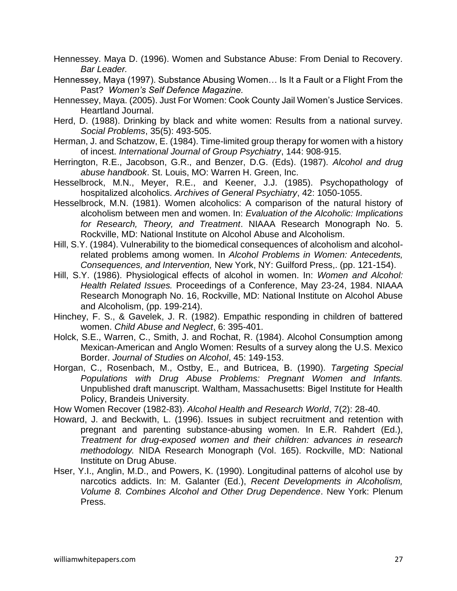- Hennessey. Maya D. (1996). Women and Substance Abuse: From Denial to Recovery. *Bar Leader.*
- Hennessey, Maya (1997). Substance Abusing Women… Is It a Fault or a Flight From the Past? *Women's Self Defence Magazine.*
- Hennessey, Maya. (2005). Just For Women: Cook County Jail Women's Justice Services. Heartland Journal.
- Herd, D. (1988). Drinking by black and white women: Results from a national survey. *Social Problems*, 35(5): 493-505.
- Herman, J. and Schatzow, E. (1984). Time-limited group therapy for women with a history of incest. *International Journal of Group Psychiatry*, 144: 908-915.
- Herrington, R.E., Jacobson, G.R., and Benzer, D.G. (Eds). (1987). *Alcohol and drug abuse handbook*. St. Louis, MO: Warren H. Green, Inc.
- Hesselbrock, M.N., Meyer, R.E., and Keener, J.J. (1985). Psychopathology of hospitalized alcoholics. *Archives of General Psychiatry*, 42: 1050-1055.
- Hesselbrock, M.N. (1981). Women alcoholics: A comparison of the natural history of alcoholism between men and women. In: *Evaluation of the Alcoholic: Implications for Research, Theory, and Treatment*. NIAAA Research Monograph No. 5. Rockville, MD: National Institute on Alcohol Abuse and Alcoholism.
- Hill, S.Y. (1984). Vulnerability to the biomedical consequences of alcoholism and alcoholrelated problems among women. In *Alcohol Problems in Women: Antecedents, Consequences, and Intervention,* New York, NY: Guilford Press,. (pp. 121-154).
- Hill, S.Y. (1986). Physiological effects of alcohol in women. In: *Women and Alcohol: Health Related Issues.* Proceedings of a Conference, May 23-24, 1984. NIAAA Research Monograph No. 16, Rockville, MD: National Institute on Alcohol Abuse and Alcoholism, (pp. 199-214).
- Hinchey, F. S., & Gavelek, J. R. (1982). Empathic responding in children of battered women. *Child Abuse and Neglect*, 6: 395-401.
- Holck, S.E., Warren, C., Smith, J. and Rochat, R. (1984). Alcohol Consumption among Mexican-American and Anglo Women: Results of a survey along the U.S. Mexico Border. *Journal of Studies on Alcohol*, 45: 149-153.
- Horgan, C., Rosenbach, M., Ostby, E., and Butricea, B. (1990). *Targeting Special Populations with Drug Abuse Problems: Pregnant Women and Infants.* Unpublished draft manuscript. Waltham, Massachusetts: Bigel Institute for Health Policy, Brandeis University.
- How Women Recover (1982-83). *Alcohol Health and Research World*, 7(2): 28-40.
- Howard, J. and Beckwith, L. (1996). Issues in subject recruitment and retention with pregnant and parenting substance-abusing women. In E.R. Rahdert (Ed.), *Treatment for drug-exposed women and their children: advances in research methodology.* NIDA Research Monograph (Vol. 165). Rockville, MD: National Institute on Drug Abuse.
- Hser, Y.I., Anglin, M.D., and Powers, K. (1990). Longitudinal patterns of alcohol use by narcotics addicts. In: M. Galanter (Ed.), *Recent Developments in Alcoholism, Volume 8. Combines Alcohol and Other Drug Dependence*. New York: Plenum Press.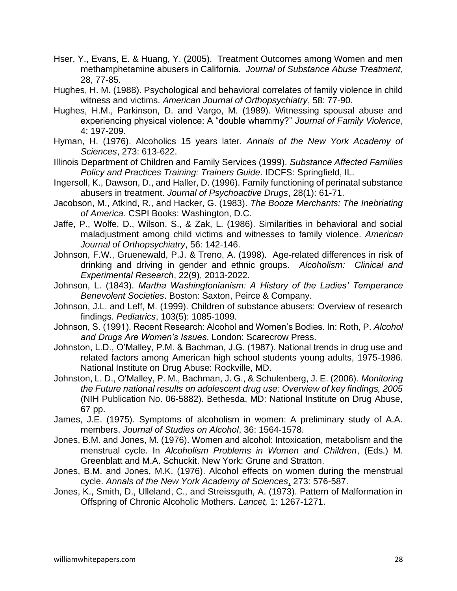- Hser, Y., Evans, E. & Huang, Y. (2005). Treatment Outcomes among Women and men methamphetamine abusers in California. *Journal of Substance Abuse Treatment*, 28, 77-85.
- Hughes, H. M. (1988). Psychological and behavioral correlates of family violence in child witness and victims. *American Journal of Orthopsychiatry*, 58: 77-90.
- Hughes, H.M., Parkinson, D. and Vargo, M. (1989). Witnessing spousal abuse and experiencing physical violence: A "double whammy?" *Journal of Family Violence*, 4: 197-209.
- Hyman, H. (1976). Alcoholics 15 years later. *Annals of the New York Academy of Sciences*, 273: 613-622.
- Illinois Department of Children and Family Services (1999). *Substance Affected Families Policy and Practices Training: Trainers Guide*. IDCFS: Springfield, IL.
- Ingersoll, K., Dawson, D., and Haller, D. (1996). Family functioning of perinatal substance abusers in treatment. *Journal of Psychoactive Drugs*, 28(1): 61-71.
- Jacobson, M., Atkind, R., and Hacker, G. (1983). *The Booze Merchants: The Inebriating of America.* CSPI Books: Washington, D.C.
- Jaffe, P., Wolfe, D., Wilson, S., & Zak, L. (1986). Similarities in behavioral and social maladjustment among child victims and witnesses to family violence. *American Journal of Orthopsychiatry*, 56: 142-146.
- Johnson, F.W., Gruenewald, P.J. & Treno, A. (1998). Age-related differences in risk of drinking and driving in gender and ethnic groups. *Alcoholism: Clinical and Experimental Research*, 22(9), 2013-2022.
- Johnson, L. (1843). *Martha Washingtonianism: A History of the Ladies' Temperance Benevolent Societies*. Boston: Saxton, Peirce & Company.
- Johnson, J.L. and Leff, M. (1999). Children of substance abusers: Overview of research findings. *Pediatrics*, 103(5): 1085-1099.
- Johnson, S. (1991). Recent Research: Alcohol and Women's Bodies. In: Roth, P. *Alcohol and Drugs Are Women's Issues*. London: Scarecrow Press.
- Johnston, L.D., O'Malley, P.M. & Bachman, J.G. (1987). National trends in drug use and related factors among American high school students young adults, 1975-1986. National Institute on Drug Abuse: Rockville, MD.
- Johnston, L. D., O'Malley, P. M., Bachman, J. G., & Schulenberg, J. E. (2006). *Monitoring the Future national results on adolescent drug use: Overview of key findings, 2005* (NIH Publication No. 06-5882). Bethesda, MD: National Institute on Drug Abuse, 67 pp.
- James, J.E. (1975). Symptoms of alcoholism in women: A preliminary study of A.A. members. *Journal of Studies on Alcohol*, 36: 1564-1578.
- Jones, B.M. and Jones, M. (1976). Women and alcohol: Intoxication, metabolism and the menstrual cycle. In *Alcoholism Problems in Women and Children*, (Eds.) M. Greenblatt and M.A. Schuckit. New York: Grune and Stratton.
- Jones, B.M. and Jones, M.K. (1976). Alcohol effects on women during the menstrual cycle. *Annals of the New York Academy of Sciences*, 273: 576-587.
- Jones, K., Smith, D., Ulleland, C., and Streissguth, A. (1973). Pattern of Malformation in Offspring of Chronic Alcoholic Mothers. *Lancet,* 1: 1267-1271.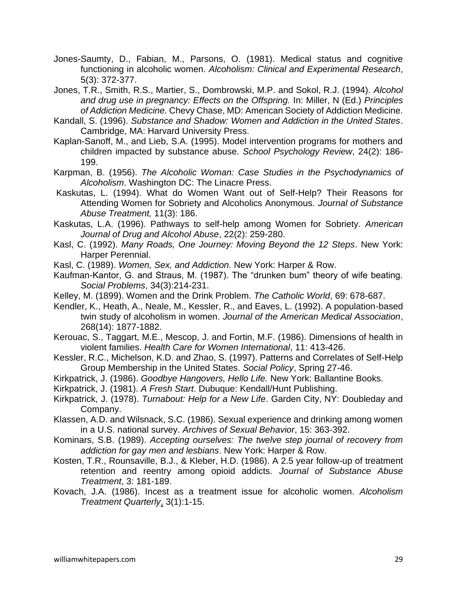- Jones-Saumty, D., Fabian, M., Parsons, O. (1981). Medical status and cognitive functioning in alcoholic women. *Alcoholism: Clinical and Experimental Research*, 5(3): 372-377.
- Jones, T.R., Smith, R.S., Martier, S., Dombrowski, M.P. and Sokol, R.J. (1994). *Alcohol and drug use in pregnancy: Effects on the Offspring.* In: Miller, N (Ed.) *Principles of Addiction Medicine.* Chevy Chase, MD: American Society of Addiction Medicine.
- Kandall, S. (1996). *Substance and Shadow: Women and Addiction in the United States*. Cambridge, MA: Harvard University Press.
- Kaplan-Sanoff, M., and Lieb, S.A. (1995). Model intervention programs for mothers and children impacted by substance abuse. *School Psychology Review*, 24(2): 186- 199.
- Karpman, B. (1956). *The Alcoholic Woman: Case Studies in the Psychodynamics of Alcoholism*. Washington DC: The Linacre Press.
- Kaskutas, L. (1994). What do Women Want out of Self-Help? Their Reasons for Attending Women for Sobriety and Alcoholics Anonymous. *Journal of Substance Abuse Treatment,* 11(3): 186.
- Kaskutas, L.A. (1996). Pathways to self-help among Women for Sobriety. *American Journal of Drug and Alcohol Abuse*, 22(2): 259-280.
- Kasl, C. (1992). *Many Roads, One Journey: Moving Beyond the 12 Steps*. New York: Harper Perennial.
- Kasl, C. (1989). *Women, Sex, and Addiction.* New York: Harper & Row.
- Kaufman-Kantor, G. and Straus, M. (1987). The "drunken bum" theory of wife beating. *Social Problems*, 34(3):214-231.
- Kelley, M. (1899). Women and the Drink Problem. *The Catholic World*, 69: 678-687.
- Kendler, K., Heath, A., Neale, M., Kessler, R., and Eaves, L. (1992). A population-based twin study of alcoholism in women. *Journal of the American Medical Association*, 268(14): 1877-1882.
- Kerouac, S., Taggart, M.E., Mescop, J. and Fortin, M.F. (1986). Dimensions of health in violent families. *Health Care for Women International*, 11: 413-426.
- Kessler, R.C., Michelson, K.D. and Zhao, S. (1997). Patterns and Correlates of Self-Help Group Membership in the United States. *Social Policy*, Spring 27-46.
- Kirkpatrick, J. (1986). *Goodbye Hangovers, Hello Life.* New York: Ballantine Books.
- Kirkpatrick, J. (1981). *A Fresh Start*. Dubuque: Kendall/Hunt Publishing.
- Kirkpatrick, J. (1978). *Turnabout: Help for a New Life*. Garden City, NY: Doubleday and Company.
- Klassen, A.D. and Wilsnack, S.C. (1986). Sexual experience and drinking among women in a U.S. national survey. *Archives of Sexual Behavior*, 15: 363-392.
- Kominars, S.B. (1989). *Accepting ourselves: The twelve step journal of recovery from addiction for gay men and lesbians*. New York: Harper & Row.
- Kosten, T.R., Rounsaville, B.J., & Kleber, H.D. (1986). A 2.5 year follow-up of treatment retention and reentry among opioid addicts. *Journal of Substance Abuse Treatment*, 3: 181-189.
- Kovach, J.A. (1986). Incest as a treatment issue for alcoholic women. *Alcoholism Treatment Quarterly*, 3(1):1-15.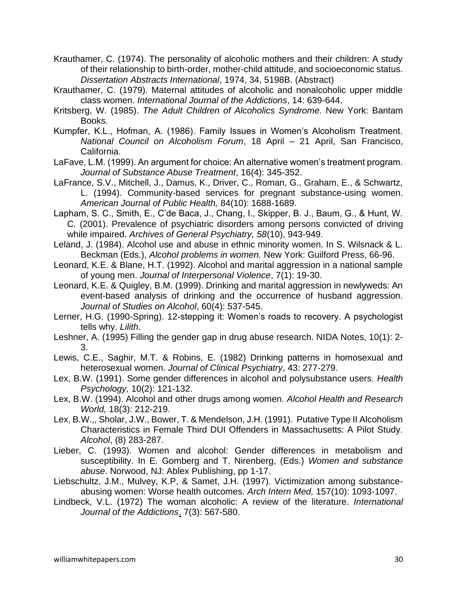- Krauthamer, C. (1974). The personality of alcoholic mothers and their children: A study of their relationship to birth-order, mother-child attitude, and socioeconomic status. *Dissertation Abstracts International*, 1974, 34, 5198B. (Abstract)
- Krauthamer, C. (1979). Maternal attitudes of alcoholic and nonalcoholic upper middle class women. *International Journal of the Addictions*, 14: 639-644.
- Kritsberg, W. (1985). *The Adult Children of Alcoholics Syndrome*. New York: Bantam Books.
- Kumpfer, K.L., Hofman, A. (1986). Family Issues in Women's Alcoholism Treatment. *National Council on Alcoholism Forum*, 18 April – 21 April, San Francisco, California.
- LaFave, L.M. (1999). An argument for choice: An alternative women's treatment program. *Journal of Substance Abuse Treatment*, 16(4): 345-352.
- LaFrance, S.V., Mitchell, J., Damus, K., Driver, C., Roman, G., Graham, E., & Schwartz, L. (1994). Community-based services for pregnant substance-using women. *American Journal of Public Health,* 84(10): 1688-1689.
- Lapham, S. C., Smith, E., C'de Baca, J., Chang, I., Skipper, B. J., Baum, G., & Hunt, W. C. (2001). Prevalence of psychiatric disorders among persons convicted of driving while impaired. *Archives of General Psychiatry, 58*(10), 943-949.
- Leland, J. (1984). Alcohol use and abuse in ethnic minority women. In S. Wilsnack & L. Beckman (Eds.), *Alcohol problems in women.* New York: Guilford Press, 66-96.
- Leonard, K.E. & Blane, H.T. (1992). Alcohol and marital aggression in a national sample of young men. *Journal of Interpersonal Violence*, 7(1): 19-30.
- Leonard, K.E. & Quigley, B.M. (1999). Drinking and marital aggression in newlyweds: An event-based analysis of drinking and the occurrence of husband aggression. *Journal of Studies on Alcohol*, 60(4): 537-545.
- Lerner, H.G. (1990-Spring). 12-stepping it: Women's roads to recovery. A psychologist tells why. *Lilith*.
- Leshner, A. (1995) Filling the gender gap in drug abuse research. NIDA Notes, 10(1): 2- 3.
- Lewis, C.E., Saghir, M.T. & Robins, E. (1982) Drinking patterns in homosexual and heterosexual women. *Journal of Clinical Psychiatry*, 43: 277-279.
- Lex, B.W. (1991). Some gender differences in alcohol and polysubstance users. *Health Psychology,* 10(2): 121-132.
- Lex, B.W. (1994). Alcohol and other drugs among women. *Alcohol Health and Research World,* 18(3): 212-219.
- Lex, B.W.,, Sholar, J.W., Bower, T. & Mendelson, J.H. (1991). Putative Type II Alcoholism Characteristics in Female Third DUI Offenders in Massachusetts: A Pilot Study. *Alcohol*, (8) 283-287.
- Lieber, C. (1993). Women and alcohol: Gender differences in metabolism and susceptibility. In E. Gomberg and T. Nirenberg, (Eds.) *Women and substance abuse*. Norwood, NJ: Ablex Publishing, pp 1-17.
- Liebschultz, J.M., Mulvey, K.P, & Samet, J.H. (1997). Victimization among substanceabusing women: Worse health outcomes. *Arch Intern Med,* 157(10): 1093-1097.
- Lindbeck, V.L. (1972) The woman alcoholic: A review of the literature. *International Journal of the Addictions*, 7(3): 567-580.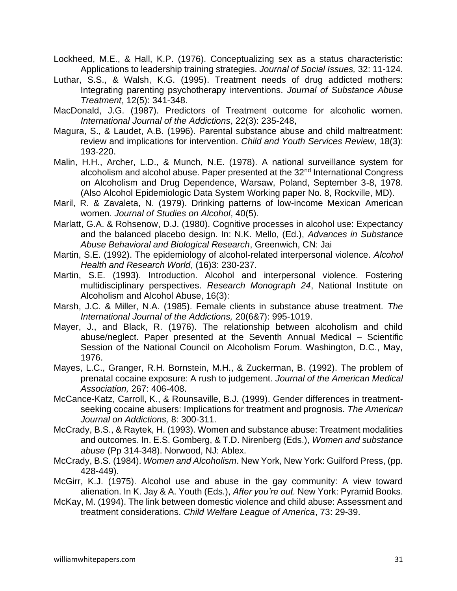- Lockheed, M.E., & Hall, K.P. (1976). Conceptualizing sex as a status characteristic: Applications to leadership training strategies. *Journal of Social Issues,* 32: 11-124.
- Luthar, S.S., & Walsh, K.G. (1995). Treatment needs of drug addicted mothers: Integrating parenting psychotherapy interventions. *Journal of Substance Abuse Treatment*, 12(5): 341-348.
- MacDonald, J.G. (1987). Predictors of Treatment outcome for alcoholic women. *International Journal of the Addictions*, 22(3): 235-248,
- Magura, S., & Laudet, A.B. (1996). Parental substance abuse and child maltreatment: review and implications for intervention. *Child and Youth Services Review*, 18(3): 193-220.
- Malin, H.H., Archer, L.D., & Munch, N.E. (1978). A national surveillance system for alcoholism and alcohol abuse. Paper presented at the 32<sup>nd</sup> International Congress on Alcoholism and Drug Dependence, Warsaw, Poland, September 3-8, 1978. (Also Alcohol Epidemiologic Data System Working paper No. 8, Rockville, MD).
- Maril, R. & Zavaleta, N. (1979). Drinking patterns of low-income Mexican American women. *Journal of Studies on Alcohol*, 40(5).
- Marlatt, G.A. & Rohsenow, D.J. (1980). Cognitive processes in alcohol use: Expectancy and the balanced placebo design. In: N.K. Mello, (Ed.), *Advances in Substance Abuse Behavioral and Biological Research*, Greenwich, CN: Jai
- Martin, S.E. (1992). The epidemiology of alcohol-related interpersonal violence. *Alcohol Health and Research World*, (16)3: 230-237.
- Martin, S.E. (1993). Introduction. Alcohol and interpersonal violence. Fostering multidisciplinary perspectives. *Research Monograph 24*, National Institute on Alcoholism and Alcohol Abuse, 16(3):
- Marsh, J.C. & Miller, N.A. (1985). Female clients in substance abuse treatment. *The International Journal of the Addictions,* 20(6&7): 995-1019.
- Mayer, J., and Black, R. (1976). The relationship between alcoholism and child abuse/neglect. Paper presented at the Seventh Annual Medical – Scientific Session of the National Council on Alcoholism Forum. Washington, D.C., May, 1976.
- Mayes, L.C., Granger, R.H. Bornstein, M.H., & Zuckerman, B. (1992). The problem of prenatal cocaine exposure: A rush to judgement. *Journal of the American Medical Association,* 267: 406-408.
- McCance-Katz, Carroll, K., & Rounsaville, B.J. (1999). Gender differences in treatmentseeking cocaine abusers: Implications for treatment and prognosis. *The American Journal on Addictions,* 8: 300-311.
- McCrady, B.S., & Raytek, H. (1993). Women and substance abuse: Treatment modalities and outcomes. In. E.S. Gomberg, & T.D. Nirenberg (Eds.), *Women and substance abuse* (Pp 314-348). Norwood, NJ: Ablex.
- McCrady, B.S. (1984). *Women and Alcoholism*. New York, New York: Guilford Press, (pp. 428-449).
- McGirr, K.J. (1975). Alcohol use and abuse in the gay community: A view toward alienation. In K. Jay & A. Youth (Eds.), *After you're out.* New York: Pyramid Books.
- McKay, M. (1994). The link between domestic violence and child abuse: Assessment and treatment considerations. *Child Welfare League of America*, 73: 29-39.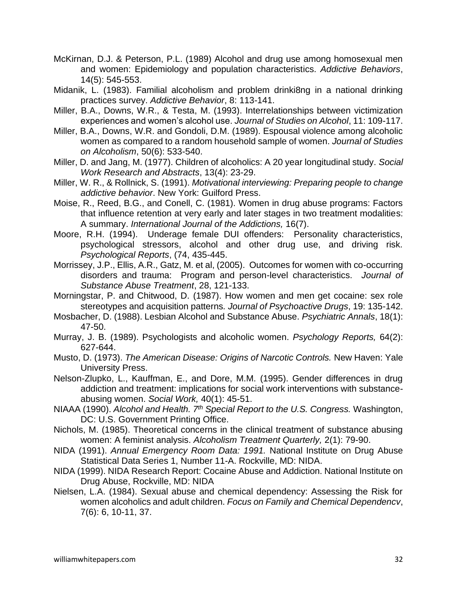- McKirnan, D.J. & Peterson, P.L. (1989) Alcohol and drug use among homosexual men and women: Epidemiology and population characteristics. *Addictive Behaviors*, 14(5): 545-553.
- Midanik, L. (1983). Familial alcoholism and problem drinki8ng in a national drinking practices survey. *Addictive Behavior*, 8: 113-141.
- Miller, B.A., Downs, W.R., & Testa, M. (1993). Interrelationships between victimization experiences and women's alcohol use. *Journal of Studies on Alcohol*, 11: 109-117.
- Miller, B.A., Downs, W.R. and Gondoli, D.M. (1989). Espousal violence among alcoholic women as compared to a random household sample of women. *Journal of Studies on Alcoholism*, 50(6): 533-540.
- Miller, D. and Jang, M. (1977). Children of alcoholics: A 20 year longitudinal study. *Social Work Research and Abstracts*, 13(4): 23-29.
- Miller, W. R., & Rollnick, S. (1991). *Motivational interviewing: Preparing people to change addictive behavior*. New York: Guilford Press.
- Moise, R., Reed, B.G., and Conell, C. (1981). Women in drug abuse programs: Factors that influence retention at very early and later stages in two treatment modalities: A summary. *International Journal of the Addictions,* 16(7).
- Moore, R.H. (1994). Underage female DUI offenders: Personality characteristics, psychological stressors, alcohol and other drug use, and driving risk. *Psychological Reports*, (74, 435-445.
- Morrissey, J.P., Ellis, A.R., Gatz, M. et al, (2005). Outcomes for women with co-occurring disorders and trauma: Program and person-level characteristics. *Journal of Substance Abuse Treatment*, 28, 121-133.
- Morningstar, P. and Chitwood, D. (1987). How women and men get cocaine: sex role stereotypes and acquisition patterns*. Journal of Psychoactive Drugs*, 19: 135-142.
- Mosbacher, D. (1988). Lesbian Alcohol and Substance Abuse. *Psychiatric Annals*, 18(1): 47-50.
- Murray, J. B. (1989). Psychologists and alcoholic women. *Psychology Reports,* 64(2): 627-644.
- Musto, D. (1973). *The American Disease: Origins of Narcotic Controls.* New Haven: Yale University Press.
- Nelson-Zlupko, L., Kauffman, E., and Dore, M.M. (1995). Gender differences in drug addiction and treatment: implications for social work interventions with substanceabusing women. *Social Work,* 40(1): 45-51.
- NIAAA (1990). *Alcohol and Health. 7th Special Report to the U.S. Congress.* Washington, DC: U.S. Government Printing Office.
- Nichols, M. (1985). Theoretical concerns in the clinical treatment of substance abusing women: A feminist analysis. *Alcoholism Treatment Quarterly,* 2(1): 79-90.
- NIDA (1991). *Annual Emergency Room Data: 1991.* National Institute on Drug Abuse Statistical Data Series 1, Number 11-A. Rockville, MD: NIDA.
- NIDA (1999). NIDA Research Report: Cocaine Abuse and Addiction. National Institute on Drug Abuse, Rockville, MD: NIDA
- Nielsen, L.A. (1984). Sexual abuse and chemical dependency: Assessing the Risk for women alcoholics and adult children. *Focus on Family and Chemical Dependencv*, 7(6): 6, 10-11, 37.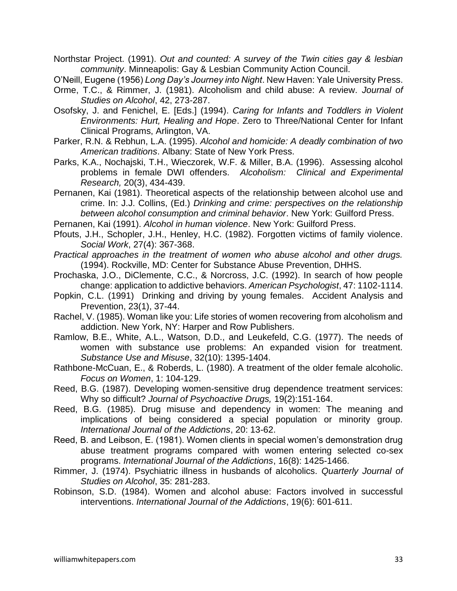Northstar Project. (1991). *Out and counted: A survey of the Twin cities gay & lesbian community*. Minneapolis: Gay & Lesbian Community Action Council.

O'Neill, Eugene (1956) *Long Day's Journey into Night*. New Haven: Yale University Press.

- Orme, T.C., & Rimmer, J. (1981). Alcoholism and child abuse: A review. *Journal of Studies on Alcohol*, 42, 273-287.
- Osofsky, J. and Fenichel, E. [Eds.] (1994). *Caring for Infants and Toddlers in Violent Environments: Hurt, Healing and Hope*. Zero to Three/National Center for Infant Clinical Programs, Arlington, VA.
- Parker, R.N. & Rebhun, L.A. (1995). *Alcohol and homicide: A deadly combination of two American traditions*. Albany: State of New York Press.
- Parks, K.A., Nochajski, T.H., Wieczorek, W.F. & Miller, B.A. (1996). Assessing alcohol problems in female DWI offenders. *Alcoholism: Clinical and Experimental Research,* 20(3), 434-439.
- Pernanen, Kai (1981). Theoretical aspects of the relationship between alcohol use and crime. In: J.J. Collins, (Ed.) *Drinking and crime: perspectives on the relationship between alcohol consumption and criminal behavior*. New York: Guilford Press.

Pernanen, Kai (1991). *Alcohol in human violence*. New York: Guilford Press.

- Pfouts, J.H., Schopler, J.H., Henley, H.C. (1982). Forgotten victims of family violence. *Social Work*, 27(4): 367-368.
- *Practical approaches in the treatment of women who abuse alcohol and other drugs.* (1994). Rockville, MD: Center for Substance Abuse Prevention, DHHS.
- Prochaska, J.O., DiClemente, C.C., & Norcross, J.C. (1992). In search of how people change: application to addictive behaviors. *American Psychologist*, 47: 1102-1114.
- Popkin, C.L. (1991) Drinking and driving by young females. Accident Analysis and Prevention, 23(1), 37-44.
- Rachel, V. (1985). Woman like you: Life stories of women recovering from alcoholism and addiction. New York, NY: Harper and Row Publishers.
- Ramlow, B.E., White, A.L., Watson, D.D., and Leukefeld, C.G. (1977). The needs of women with substance use problems: An expanded vision for treatment. *Substance Use and Misuse*, 32(10): 1395-1404.
- Rathbone-McCuan, E., & Roberds, L. (1980). A treatment of the older female alcoholic. *Focus on Women*, 1: 104-129.
- Reed, B.G. (1987). Developing women-sensitive drug dependence treatment services: Why so difficult? *Journal of Psychoactive Drugs,* 19(2):151-164.
- Reed, B.G. (1985). Drug misuse and dependency in women: The meaning and implications of being considered a special population or minority group. *International Journal of the Addictions*, 20: 13-62.
- Reed, B. and Leibson, E. (1981). Women clients in special women's demonstration drug abuse treatment programs compared with women entering selected co-sex programs. *International Journal of the Addictions*, 16(8): 1425-1466.
- Rimmer, J. (1974). Psychiatric illness in husbands of alcoholics. *Quarterly Journal of Studies on Alcohol*, 35: 281-283.
- Robinson, S.D. (1984). Women and alcohol abuse: Factors involved in successful interventions. *International Journal of the Addictions*, 19(6): 601-611.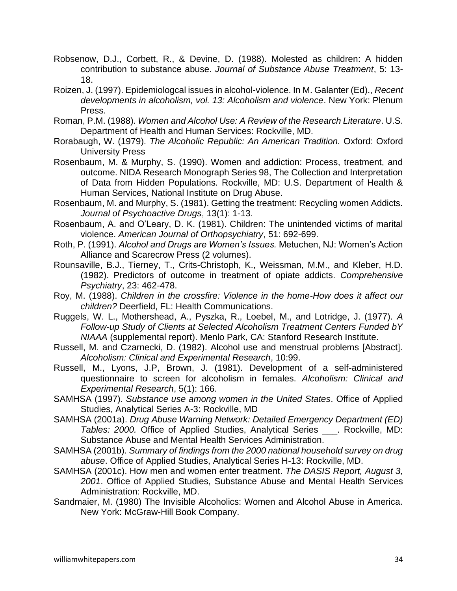- Robsenow, D.J., Corbett, R., & Devine, D. (1988). Molested as children: A hidden contribution to substance abuse. *Journal of Substance Abuse Treatment*, 5: 13- 18.
- Roizen, J. (1997). Epidemiologcal issues in alcohol-violence. In M. Galanter (Ed)., *Recent developments in alcoholism, vol. 13: Alcoholism and violence*. New York: Plenum Press.
- Roman, P.M. (1988). *Women and Alcohol Use: A Review of the Research Literature*. U.S. Department of Health and Human Services: Rockville, MD.
- Rorabaugh, W. (1979). *The Alcoholic Republic: An American Tradition.* Oxford: Oxford University Press
- Rosenbaum, M. & Murphy, S. (1990). Women and addiction: Process, treatment, and outcome. NIDA Research Monograph Series 98, The Collection and Interpretation of Data from Hidden Populations. Rockville, MD: U.S. Department of Health & Human Services, National Institute on Drug Abuse.
- Rosenbaum, M. and Murphy, S. (1981). Getting the treatment: Recycling women Addicts. *Journal of Psychoactive Drugs*, 13(1): 1-13.
- Rosenbaum, A. and O'Leary, D. K. (1981). Children: The unintended victims of marital violence. *American Journal of Orthopsychiatry*, 51: 692-699.
- Roth, P. (1991). *Alcohol and Drugs are Women's Issues.* Metuchen, NJ: Women's Action Alliance and Scarecrow Press (2 volumes).
- Rounsaville, B.J., Tierney, T., Crits-Christoph, K., Weissman, M.M., and Kleber, H.D. (1982). Predictors of outcome in treatment of opiate addicts. *Comprehensive Psychiatry*, 23: 462-478.
- Roy, M. (1988). *Children in the crossfire: Violence in the home-How does it affect our children?* Deerfield, FL: Health Communications.
- Ruggels, W. L., Mothershead, A., Pyszka, R., Loebel, M., and Lotridge, J. (1977). *A Follow-up Study of Clients at Selected Alcoholism Treatment Centers Funded bY NIAAA* (supplemental report). Menlo Park, CA: Stanford Research Institute.
- Russell, M. and Czarnecki, D. (1982). Alcohol use and menstrual problems [Abstract]. *Alcoholism: Clinical and Experimental Research*, 10:99.
- Russell, M., Lyons, J.P, Brown, J. (1981). Development of a self-administered questionnaire to screen for alcoholism in females. *Alcoholism: Clinical and Experimental Research*, 5(1): 166.
- SAMHSA (1997). *Substance use among women in the United States*. Office of Applied Studies, Analytical Series A-3: Rockville, MD
- SAMHSA (2001a). *Drug Abuse Warning Network: Detailed Emergency Department (ED) Tables: 2000.* Office of Applied Studies, Analytical Series \_\_\_. Rockville, MD: Substance Abuse and Mental Health Services Administration.
- SAMHSA (2001b). *Summary of findings from the 2000 national household survey on drug abuse*. Office of Applied Studies, Analytical Series H-13: Rockville, MD.
- SAMHSA (2001c). How men and women enter treatment. *The DASIS Report, August 3, 2001*. Office of Applied Studies, Substance Abuse and Mental Health Services Administration: Rockville, MD.
- Sandmaier, M. (1980) The Invisible Alcoholics: Women and Alcohol Abuse in America. New York: McGraw-Hill Book Company.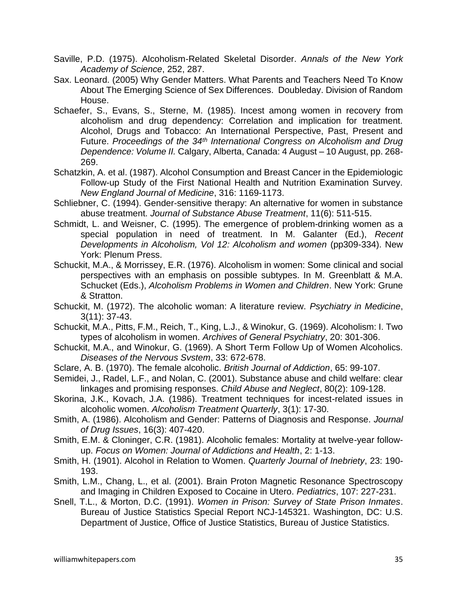- Saville, P.D. (1975). Alcoholism-Related Skeletal Disorder. *Annals of the New York Academy of Science*, 252, 287.
- Sax. Leonard. (2005) Why Gender Matters. What Parents and Teachers Need To Know About The Emerging Science of Sex Differences. Doubleday. Division of Random House.
- Schaefer, S., Evans, S., Sterne, M. (1985). Incest among women in recovery from alcoholism and drug dependency: Correlation and implication for treatment. Alcohol, Drugs and Tobacco: An International Perspective, Past, Present and Future. *Proceedings of the 34th International Congress on Alcoholism and Drug Dependence: Volume II.* Calgary, Alberta, Canada: 4 August – 10 August, pp. 268- 269.
- Schatzkin, A. et al. (1987). Alcohol Consumption and Breast Cancer in the Epidemiologic Follow-up Study of the First National Health and Nutrition Examination Survey. *New England Journal of Medicine*, 316: 1169-1173.
- Schliebner, C. (1994). Gender-sensitive therapy: An alternative for women in substance abuse treatment. *Journal of Substance Abuse Treatment*, 11(6): 511-515.
- Schmidt, L. and Weisner, C. (1995). The emergence of problem-drinking women as a special population in need of treatment. In M. Galanter (Ed.), *Recent Developments in Alcoholism, Vol 12: Alcoholism and women* (pp309-334). New York: Plenum Press.
- Schuckit, M.A., & Morrissey, E.R. (1976). Alcoholism in women: Some clinical and social perspectives with an emphasis on possible subtypes. In M. Greenblatt & M.A. Schucket (Eds.), *Alcoholism Problems in Women and Children*. New York: Grune & Stratton.
- Schuckit, M. (1972). The alcoholic woman: A literature review. *Psychiatry in Medicine*, 3(11): 37-43.
- Schuckit, M.A., Pitts, F.M., Reich, T., King, L.J., & Winokur, G. (1969). Alcoholism: I. Two types of alcoholism in women. *Archives of General Psychiatry*, 20: 301-306.
- Schuckit, M.A., and Winokur, G. (1969). A Short Term Follow Up of Women Alcoholics. *Diseases of the Nervous Svstem*, 33: 672-678.
- Sclare, A. B. (1970). The female alcoholic. *British Journal of Addiction*, 65: 99-107.
- Semidei, J., Radel, L.F., and Nolan, C. (2001). Substance abuse and child welfare: clear linkages and promising responses. *Child Abuse and Neglect*, 80(2): 109-128.
- Skorina, J.K., Kovach, J.A. (1986). Treatment techniques for incest-related issues in alcoholic women. *Alcoholism Treatment Quarterly*, 3(1): 17-30.
- Smith, A. (1986). Alcoholism and Gender: Patterns of Diagnosis and Response. *Journal of Drug Issues*, 16(3): 407-420.
- Smith, E.M. & Cloninger, C.R. (1981). Alcoholic females: Mortality at twelve-year followup. *Focus on Women: Journal of Addictions and Health*, 2: 1-13.
- Smith, H. (1901). Alcohol in Relation to Women. *Quarterly Journal of Inebriety*, 23: 190- 193.
- Smith, L.M., Chang, L., et al. (2001). Brain Proton Magnetic Resonance Spectroscopy and Imaging in Children Exposed to Cocaine in Utero. *Pediatrics*, 107: 227-231.
- Snell, T.L., & Morton, D.C. (1991). *Women in Prison: Survey of State Prison Inmates*. Bureau of Justice Statistics Special Report NCJ-145321. Washington, DC: U.S. Department of Justice, Office of Justice Statistics, Bureau of Justice Statistics.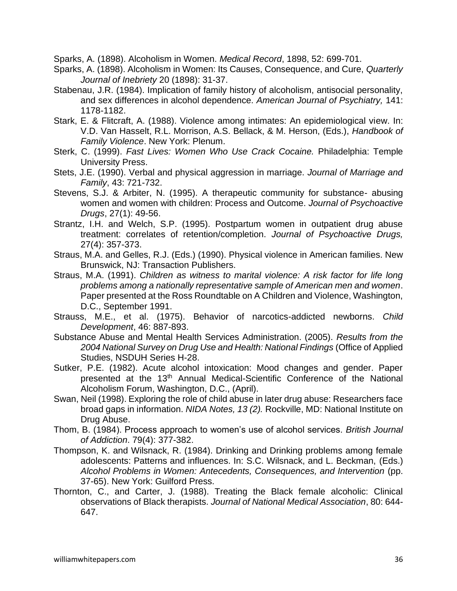Sparks, A. (1898). Alcoholism in Women. *Medical Record*, 1898, 52: 699-701.

- Sparks, A. (1898). Alcoholism in Women: Its Causes, Consequence, and Cure, *Quarterly Journal of Inebriety* 20 (1898): 31-37.
- Stabenau, J.R. (1984). Implication of family history of alcoholism, antisocial personality, and sex differences in alcohol dependence. *American Journal of Psychiatry,* 141: 1178-1182.
- Stark, E. & Flitcraft, A. (1988). Violence among intimates: An epidemiological view. In: V.D. Van Hasselt, R.L. Morrison, A.S. Bellack, & M. Herson, (Eds.), *Handbook of Family Violence*. New York: Plenum.
- Sterk, C. (1999). *Fast Lives: Women Who Use Crack Cocaine.* Philadelphia: Temple University Press.
- Stets, J.E. (1990). Verbal and physical aggression in marriage. *Journal of Marriage and Family*, 43: 721-732.
- Stevens, S.J. & Arbiter, N. (1995). A therapeutic community for substance- abusing women and women with children: Process and Outcome. *Journal of Psychoactive Drugs*, 27(1): 49-56.
- Strantz, I.H. and Welch, S.P. (1995). Postpartum women in outpatient drug abuse treatment: correlates of retention/completion. *Journal of Psychoactive Drugs,* 27(4): 357-373.
- Straus, M.A. and Gelles, R.J. (Eds.) (1990). Physical violence in American families. New Brunswick, NJ: Transaction Publishers.
- Straus, M.A. (1991). *Children as witness to marital violence: A risk factor for life long problems among a nationally representative sample of American men and women*. Paper presented at the Ross Roundtable on A Children and Violence, Washington, D.C., September 1991.
- Strauss, M.E., et al. (1975). Behavior of narcotics-addicted newborns. *Child Development*, 46: 887-893.
- Substance Abuse and Mental Health Services Administration. (2005). *Results from the 2004 National Survey on Drug Use and Health: National Findings* (Office of Applied Studies, NSDUH Series H-28.
- Sutker, P.E. (1982). Acute alcohol intoxication: Mood changes and gender. Paper presented at the 13<sup>th</sup> Annual Medical-Scientific Conference of the National Alcoholism Forum, Washington, D.C., (April).
- Swan, Neil (1998). Exploring the role of child abuse in later drug abuse: Researchers face broad gaps in information. *NIDA Notes, 13 (2).* Rockville, MD: National Institute on Drug Abuse.
- Thom, B. (1984). Process approach to women's use of alcohol services. *British Journal of Addiction*. 79(4): 377-382.
- Thompson, K. and Wilsnack, R. (1984). Drinking and Drinking problems among female adolescents: Patterns and influences. In: S.C. Wilsnack, and L. Beckman, (Eds.) *Alcohol Problems in Women: Antecedents, Consequences, and Intervention* (pp. 37-65). New York: Guilford Press.
- Thornton, C., and Carter, J. (1988). Treating the Black female alcoholic: Clinical observations of Black therapists. *Journal of National Medical Association*, 80: 644- 647.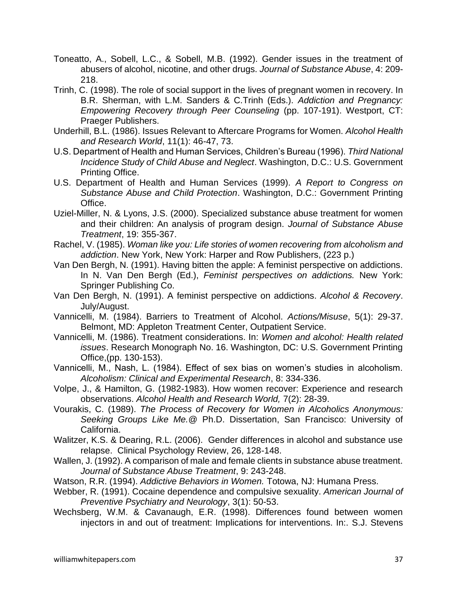- Toneatto, A., Sobell, L.C., & Sobell, M.B. (1992). Gender issues in the treatment of abusers of alcohol, nicotine, and other drugs. *Journal of Substance Abuse*, 4: 209- 218.
- Trinh, C. (1998). The role of social support in the lives of pregnant women in recovery. In B.R. Sherman, with L.M. Sanders & C.Trinh (Eds.). *Addiction and Pregnancy: Empowering Recovery through Peer Counseling* (pp. 107-191). Westport, CT: Praeger Publishers.
- Underhill, B.L. (1986). Issues Relevant to Aftercare Programs for Women. *Alcohol Health and Research World*, 11(1): 46-47, 73.
- U.S. Department of Health and Human Services, Children's Bureau (1996). *Third National Incidence Study of Child Abuse and Neglect*. Washington, D.C.: U.S. Government Printing Office.
- U.S. Department of Health and Human Services (1999). *A Report to Congress on Substance Abuse and Child Protection*. Washington, D.C.: Government Printing Office.
- Uziel-Miller, N. & Lyons, J.S. (2000). Specialized substance abuse treatment for women and their children: An analysis of program design. *Journal of Substance Abuse Treatment*, 19: 355-367.
- Rachel, V. (1985). *Woman like you: Life stories of women recovering from alcoholism and addiction*. New York, New York: Harper and Row Publishers, (223 p.)
- Van Den Bergh, N. (1991). Having bitten the apple: A feminist perspective on addictions. In N. Van Den Bergh (Ed.), *Feminist perspectives on addictions.* New York: Springer Publishing Co.
- Van Den Bergh, N. (1991). A feminist perspective on addictions. *Alcohol & Recovery*. July/August.
- Vannicelli, M. (1984). Barriers to Treatment of Alcohol. *Actions/Misuse*, 5(1): 29-37. Belmont, MD: Appleton Treatment Center, Outpatient Service.
- Vannicelli, M. (1986). Treatment considerations. In: *Women and alcohol: Health related issues*. Research Monograph No. 16. Washington, DC: U.S. Government Printing Office,(pp. 130-153).
- Vannicelli, M., Nash, L. (1984). Effect of sex bias on women's studies in alcoholism. *Alcoholism: Clinical and Experimental Research*, 8: 334-336.
- Volpe, J., & Hamilton, G. (1982-1983). How women recover: Experience and research observations. *Alcohol Health and Research World,* 7(2): 28-39.
- Vourakis, C. (1989). *The Process of Recovery for Women in Alcoholics Anonymous: Seeking Groups Like Me.@* Ph.D. Dissertation, San Francisco: University of California.
- Walitzer, K.S. & Dearing, R.L. (2006). Gender differences in alcohol and substance use relapse. Clinical Psychology Review, 26, 128-148.
- Wallen, J. (1992). A comparison of male and female clients in substance abuse treatment. *Journal of Substance Abuse Treatment*, 9: 243-248.
- Watson, R.R. (1994). *Addictive Behaviors in Women.* Totowa, NJ: Humana Press.
- Webber, R. (1991). Cocaine dependence and compulsive sexuality. *American Journal of Preventive Psychiatry and Neurology*, 3(1): 50-53.
- Wechsberg, W.M. & Cavanaugh, E.R. (1998). Differences found between women injectors in and out of treatment: Implications for interventions. In:. S.J. Stevens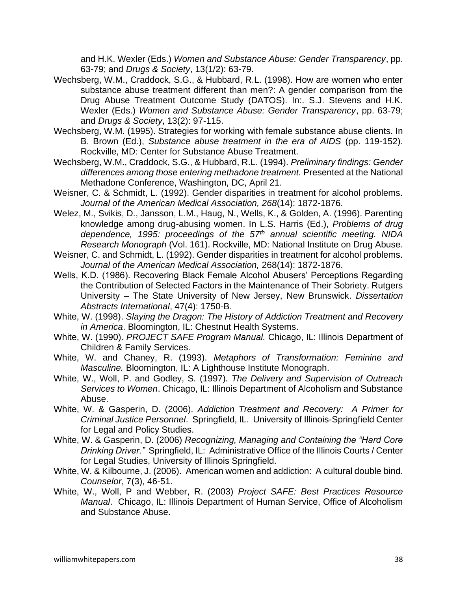and H.K. Wexler (Eds.) *Women and Substance Abuse: Gender Transparency*, pp. 63-79; and *Drugs & Society*, 13(1/2): 63-79.

- Wechsberg, W.M., Craddock, S.G., & Hubbard, R.L. (1998). How are women who enter substance abuse treatment different than men?: A gender comparison from the Drug Abuse Treatment Outcome Study (DATOS). In:. S.J. Stevens and H.K. Wexler (Eds.) *Women and Substance Abuse: Gender Transparency*, pp. 63-79; and *Drugs & Society*, 13(2): 97-115.
- Wechsberg, W.M. (1995). Strategies for working with female substance abuse clients. In B. Brown (Ed.), *Substance abuse treatment in the era of AIDS* (pp. 119-152). Rockville, MD: Center for Substance Abuse Treatment.
- Wechsberg, W.M., Craddock, S.G., & Hubbard, R.L. (1994). *Preliminary findings: Gender differences among those entering methadone treatment.* Presented at the National Methadone Conference, Washington, DC, April 21.
- Weisner, C. & Schmidt, L. (1992). Gender disparities in treatment for alcohol problems. *Journal of the American Medical Association, 268*(14): 1872-1876.
- Welez, M., Svikis, D., Jansson, L.M., Haug, N., Wells, K., & Golden, A. (1996). Parenting knowledge among drug-abusing women. In L.S. Harris (Ed.), *Problems of drug dependence, 1995: proceedings of the 57th annual scientific meeting. NIDA Research Monograph* (Vol. 161). Rockville, MD: National Institute on Drug Abuse.
- Weisner, C. and Schmidt, L. (1992). Gender disparities in treatment for alcohol problems. *Journal of the American Medical Association,* 268(14): 1872-1876.
- Wells, K.D. (1986). Recovering Black Female Alcohol Abusers' Perceptions Regarding the Contribution of Selected Factors in the Maintenance of Their Sobriety. Rutgers University – The State University of New Jersey, New Brunswick. *Dissertation Abstracts International*, 47(4): 1750-B.
- White, W. (1998). *Slaying the Dragon: The History of Addiction Treatment and Recovery in America*. Bloomington, IL: Chestnut Health Systems.
- White, W. (1990). *PROJECT SAFE Program Manual.* Chicago, IL: Illinois Department of Children & Family Services.
- White, W. and Chaney, R. (1993). *Metaphors of Transformation: Feminine and Masculine.* Bloomington, IL: A Lighthouse Institute Monograph.
- White, W., Woll, P. and Godley, S*.* (1997)*. The Delivery and Supervision of Outreach Services to Women*. Chicago, IL: Illinois Department of Alcoholism and Substance Abuse.
- White, W. & Gasperin, D. (2006). *Addiction Treatment and Recovery: A Primer for Criminal Justice Personnel*. Springfield, IL. University of Illinois-Springfield Center for Legal and Policy Studies.
- White, W. & Gasperin, D. (2006) *Recognizing, Managing and Containing the "Hard Core Drinking Driver."* Springfield, IL: Administrative Office of the Illinois Courts / Center for Legal Studies, University of Illinois Springfield.
- White, W. & Kilbourne, J. (2006). American women and addiction: A cultural double bind. *Counselor*, 7(3), 46-51.
- White, W., Woll, P and Webber, R. (2003) *Project SAFE: Best Practices Resource Manual*. Chicago, IL: Illinois Department of Human Service, Office of Alcoholism and Substance Abuse.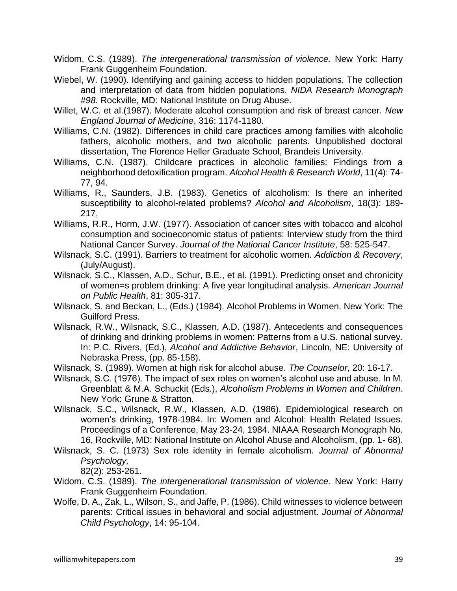Widom, C.S. (1989). *The intergenerational transmission of violence.* New York: Harry Frank Guggenheim Foundation.

- Wiebel, W. (1990). Identifying and gaining access to hidden populations. The collection and interpretation of data from hidden populations. *NIDA Research Monograph #98.* Rockville, MD: National Institute on Drug Abuse.
- Willet, W.C. et al.(1987). Moderate alcohol consumption and risk of breast cancer. *New England Journal of Medicine*, 316: 1174-1180.
- Williams, C.N. (1982). Differences in child care practices among families with alcoholic fathers, alcoholic mothers, and two alcoholic parents. Unpublished doctoral dissertation, The Florence Heller Graduate School, Brandeis University.
- Williams, C.N. (1987). Childcare practices in alcoholic families: Findings from a neighborhood detoxification program. *Alcohol Health & Research World*, 11(4): 74- 77, 94.
- Williams, R., Saunders, J.B. (1983). Genetics of alcoholism: Is there an inherited susceptibility to alcohol-related problems? *Alcohol and Alcoholism*, 18(3): 189- 217,
- Williams, R.R., Horm, J.W. (1977). Association of cancer sites with tobacco and alcohol consumption and socioeconomic status of patients: Interview study from the third National Cancer Survey. *Journal of the National Cancer Institute*, 58: 525-547.
- Wilsnack, S.C. (1991). Barriers to treatment for alcoholic women. *Addiction & Recovery*, (July/August).
- Wilsnack, S.C., Klassen, A.D., Schur, B.E., et al. (1991). Predicting onset and chronicity of women=s problem drinking: A five year longitudinal analysis. *American Journal on Public Health*, 81: 305-317.
- Wilsnack, S. and Beckan, L., (Eds.) (1984). Alcohol Problems in Women. New York: The Guilford Press.
- Wilsnack, R.W., Wilsnack, S.C., Klassen, A.D. (1987). Antecedents and consequences of drinking and drinking problems in women: Patterns from a U.S. national survey. In: P.C. Rivers, (Ed.), *Alcohol and Addictive Behavior*, Lincoln, NE: University of Nebraska Press, (pp. 85-158).
- Wilsnack, S. (1989). Women at high risk for alcohol abuse. *The Counselor*, 20: 16-17.
- Wilsnack, S.C. (1976). The impact of sex roles on women's alcohol use and abuse. In M. Greenblatt & M.A. Schuckit (Eds.), *Alcoholism Problems in Women and Children*. New York: Grune & Stratton.
- Wilsnack, S.C., Wilsnack, R.W., Klassen, A.D. (1986). Epidemiological research on women's drinking, 1978-1984. In: Women and Alcohol: Health Related Issues. Proceedings of a Conference, May 23-24, 1984. NIAAA Research Monograph No. 16, Rockville, MD: National Institute on Alcohol Abuse and Alcoholism, (pp. 1- 68).
- Wilsnack, S. C. (1973) Sex role identity in female alcoholism. *Journal of Abnormal Psychology,*

82(2): 253-261.

- Widom, C.S. (1989). *The intergenerational transmission of violence*. New York: Harry Frank Guggenheim Foundation.
- Wolfe, D. A., Zak, L., Wilson, S., and Jaffe, P. (1986). Child witnesses to violence between parents: Critical issues in behavioral and social adjustment. *Journal of Abnormal Child Psychology*, 14: 95-104.